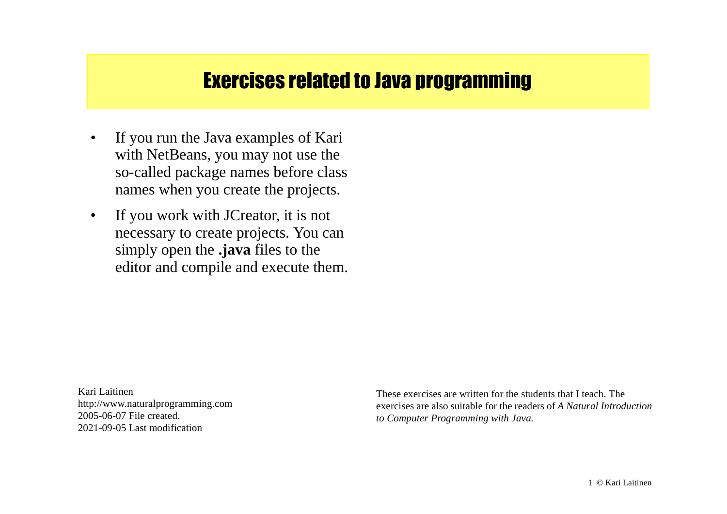# Exercises related to Java programming

- $\bullet$  If you run the Java examples of Kari with NetBeans, you may not use the so-called package names before class names when you create the projects.
- $\bullet$  If you work with JCreator, it is not necessary to create projects. You can simply open the **.java** files to the editor and compile and execute them.

Kari Laitinenhttp://www.naturalprogramming.com 2005-06-07 File created. 2021-09-05 Last modification

These exercises are written for the students that I teach. The exercises are also suitable for the readers of *A Natural Introduction to Computer Programming with Java.*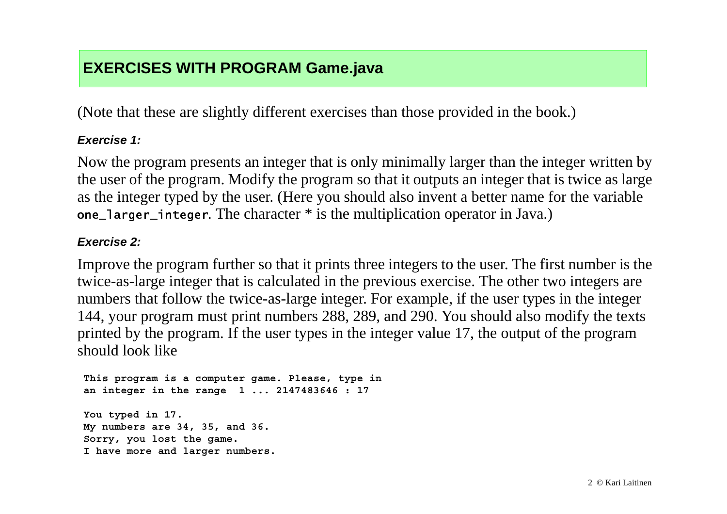## **EXERCISES WITH PROGRAM Game.java**

(Note that these are slightly different exercises than those provided in the book.)

### *Exercise 1:*

Now the program presents an integer that is only minimally larger than the integer written by the user of the program. Modify the program so that it outputs an integer that is twice as large as the integer typed by the user. (Here you should also invent a better name for the variable one\_1arger\_integer. The character \* is the multiplication operator in Java.)

#### *Exercise 2:*

Improve the program further so that it prints three integers to the user. The first number is the twice-as-large integer that is calculated in the previous exercise. The other two integers are numbers that follow the twice-as-large integer. For example, if the user types in the integer 144, your program must print numbers 288, 289, and 290. You should also modify the texts printed by the program. If the user types in the integer value 17, the output of the program should look like

 **This program is a computer game. Please, type in an integer in the range 1 ... 2147483646 : 17**

 **You typed in 17. My numbers are 34, 35, and 36. Sorry, you lost the game. I have more and larger numbers.**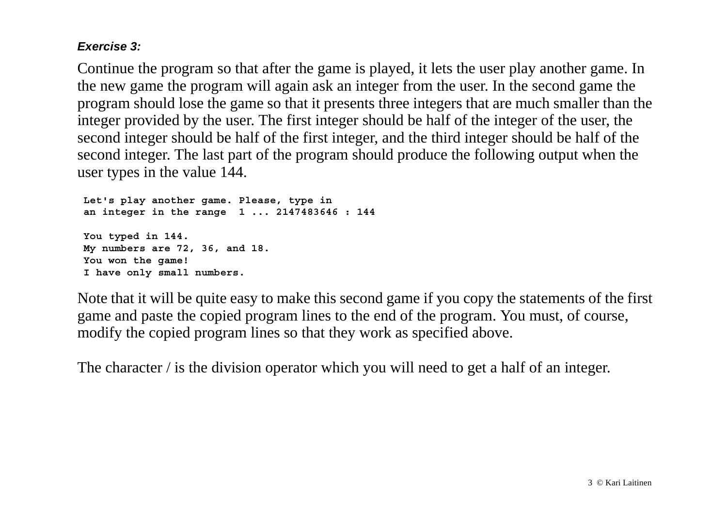#### *Exercise 3:*

Continue the program so that after the game is played, it lets the user play another game. In the new game the program will again ask an integer from the user. In the second game the program should lose the game so that it presents three integers that are much smaller than the integer provided by the user. The first integer should be half of the integer of the user, the second integer should be half of the first integer, and the third integer should be half of the second integer. The last part of the program should produce the following output when the user types in the value 144.

 **Let's play another game. Please, type in an integer in the range 1 ... 2147483646 : 144 You typed in 144. My numbers are 72, 36, and 18. You won the game! I have only small numbers.**

Note that it will be quite easy to make this second game if you copy the statements of the first game and paste the copied program lines to the end of the program. You must, of course, modify the copied program lines so that they work as specified above.

The character / is the division operator which you will need to get a half of an integer.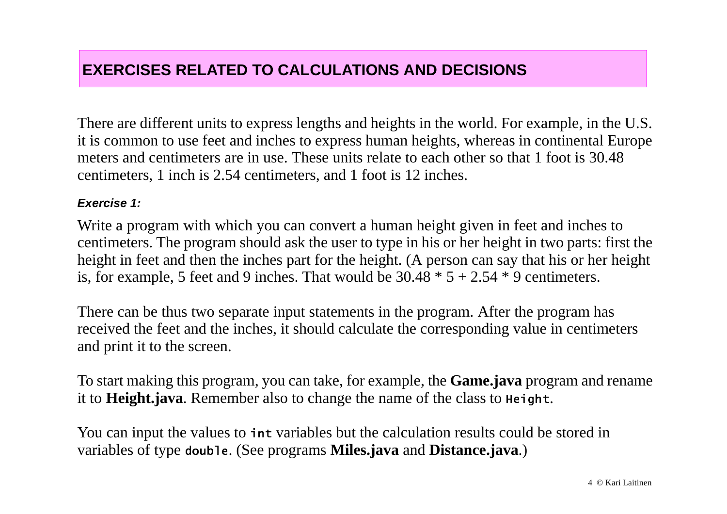### **EXERCISES RELATED TO CALCULATIONS AND DECISIONS**

There are different units to express lengths and heights in the world. For example, in the U.S. it is common to use feet and inches to express human heights, whereas in continental Europe meters and centimeters are in use. These units relate to each other so that 1 foot is 30.48 centimeters, 1 inch is 2.54 centimeters, and 1 foot is 12 inches.

#### *Exercise 1:*

Write a program with which you can convert a human height given in feet and inches to centimeters. The program should ask the user to type in his or her height in two parts: first the height in feet and then the inches part for the height. (A person can say that his or her height is, for example, 5 feet and 9 inches. That would be  $30.48 * 5 + 2.54 * 9$  centimeters.

There can be thus two separate input statements in the program. After the program has received the feet and the inches, it should calculate the corresponding value in centimeters and print it to the screen.

To start making this program, you can take, for example, the **Game.java** program and rename it to **Height.java**. Remember also to change the name of the class to <code>нeight.</code>

You can input the values to int variables but the calculation results could be stored in variables of type double. (See programs Miles.java and Distance.java.)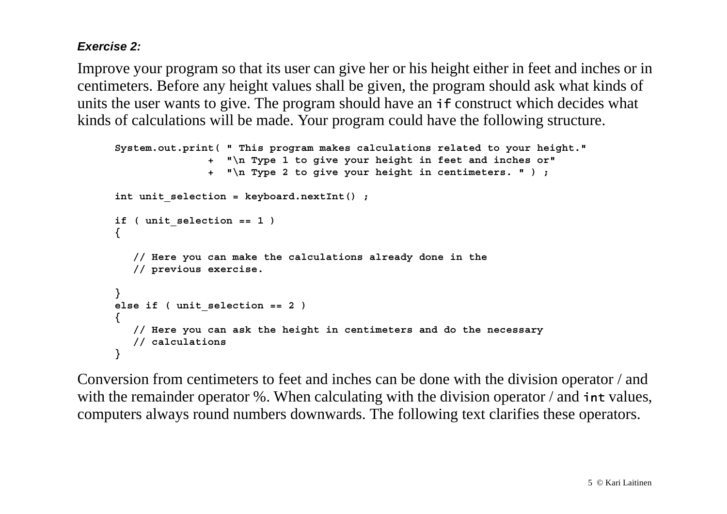#### *Exercise 2:*

Improve your program so that its user can give her or his height either in feet and inches or in centimeters. Before any height values shall be given, the program should ask what kinds of units the user wants to give. The program should have an  $\mathbf{i}$  f construct which decides what kinds of calculations will be made. Your program could have the following structure.

```
 System.out.print( " This program makes calculations related to your height."
                      +"\n Type 1 to give your height in feet and inches or"
                      +"\n Type 2 to give your height in centimeters. " ) ;
     int unit selection = keyboard.nextInt() ;
      if ( unit_selection == 1 )
      {
         // Here you can make the calculations already done in the
         // previous exercise.
      }
      else if ( unit_selection == 2 )
 {
         // Here you can ask the height in centimeters and do the necessary
         // calculations
      }
```
Conversion from centimeters to feet and inches can be done with the division operator / and with the remainder operator %. When calculating with the division operator  $\ell$  and  $\cdot$  int values, computers always round numbers downwards. The following text clarifies these operators.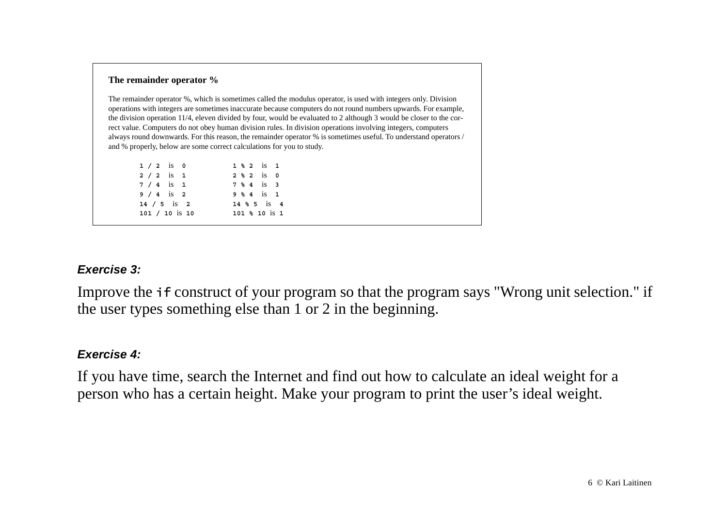#### **The remainder operator %**

The remainder operator %, which is sometimes called the modulus operator, is used with integers only. Division operations with integers are sometimes inaccurate because computers do not round numbers upwards. For example, the division operation 11/4, eleven divided by four, would be evaluated to 2 although 3 would be closer to the correct value. Computers do not obey human division rules. In division operations involving integers, computers always round downwards. For this reason, the remainder operator % is sometimes useful. To understand operators / and % properly, below are some correct calculations for you to study.

| $1 / 2$ is 0     | 1 % 2 1S 1       |  |
|------------------|------------------|--|
| $2/2$ is 1       | 2, 2, 2, 15, 0   |  |
| $7 / 4$ is 1     | 7 % 4 is 3       |  |
| $9 / 4$ is 2     | 9 % 4 is 1       |  |
| $14 / 5$ is 2    | $14 \,$ % 5 is 4 |  |
| $101 / 10$ is 10 | $101$ % 10 is 1  |  |

#### *Exercise 3:*

Improve the *if* construct of your program so that the program says "Wrong unit selection." if the user types something else than 1 or 2 in the beginning.

#### *Exercise 4:*

If you have time, search the Internet and find out how to calculate an ideal weight for a person who has a certain height. Make your program to print the user's ideal weight.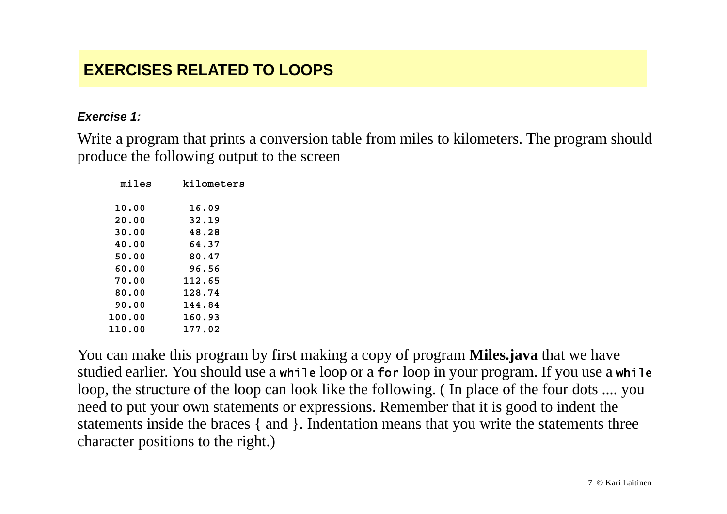### **EXERCISES RELATED TO LOOPS**

#### *Exercise 1:*

Write a program that prints a conversion table from miles to kilometers. The program should produce the following output to the screen

| miles  | kilometers |
|--------|------------|
| 10.00  | 16.09      |
| 20.00  | 32.19      |
| 30.00  | 48.28      |
| 40.00  | 64.37      |
| 50.00  | 80.47      |
| 60.00  | 96.56      |
| 70.00  | 112.65     |
| 80.00  | 128.74     |
| 90.00  | 144.84     |
| 100.00 | 160.93     |
| 110.00 | 177.02     |

You can make this program by first making a copy of program **Miles.java** that we have studied earlier. You should use a while loop or a for loop in your program. If you use a while loop, the structure of the loop can look like the following. ( In place of the four dots .... you need to put your own statements or expressions. Remember that it is good to indent the statements inside the braces { and }. Indentation means that you write the statements three character positions to the right.)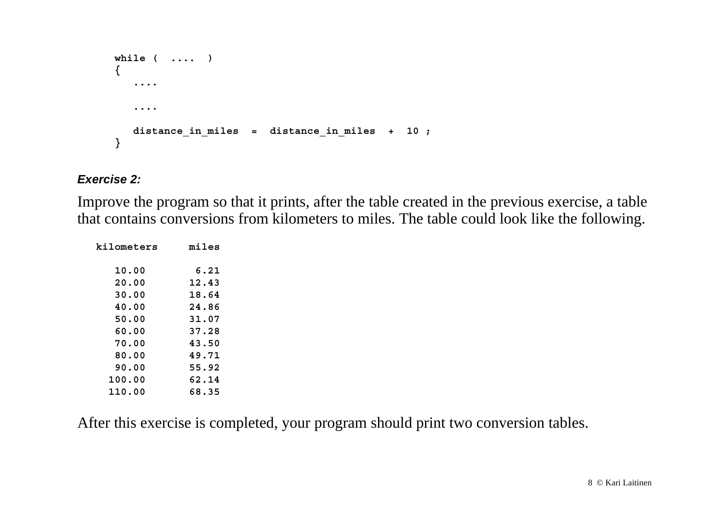```
 while ( .... )
 {
    .... ....  distance_in_miles = distance_in_miles + 10 ;
 }
```
#### *Exercise 2:*

Improve the program so that it prints, after the table created in the previous exercise, a table that contains conversions from kilometers to miles. The table could look like the following.

| kilometers | miles |
|------------|-------|
| 10.00      | 6.21  |
| 20.00      | 12.43 |
| 30.00      | 18.64 |
| 40.00      | 24.86 |
| 50.00      | 31.07 |
| 60.00      | 37.28 |
| 70.00      | 43.50 |
| 80.00      | 49.71 |
| 90.00      | 55.92 |
| 100.00     | 62.14 |
| 110.00     | 68.35 |

After this exercise is completed, your program should print two conversion tables.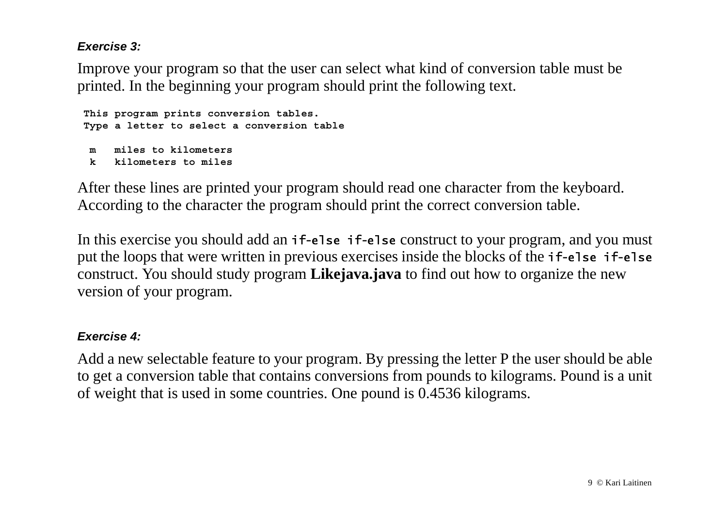#### *Exercise 3:*

Improve your program so that the user can select what kind of conversion table must be printed. In the beginning your program should print the following text.

```
 This program prints conversion tables.
 Type a letter to select a conversion table
 m miles to kilometers k kilometers to miles
```
After these lines are printed your program should read one character from the keyboard. According to the character the program should print the correct conversion table.

In this exercise you should add an if-else if-else construct to your program, and you must put the loops that were written in previous exercises inside the blocks of the **if-else if-else** construct. You should study program **Likejava.java** to find out how to organize the new version of your program.

#### *Exercise 4:*

Add a new selectable feature to your program. By pressing the letter P the user should be able to get a conversion table that contains conversions from pounds to kilograms. Pound is a unit of weight that is used in some countries. One pound is 0.4536 kilograms.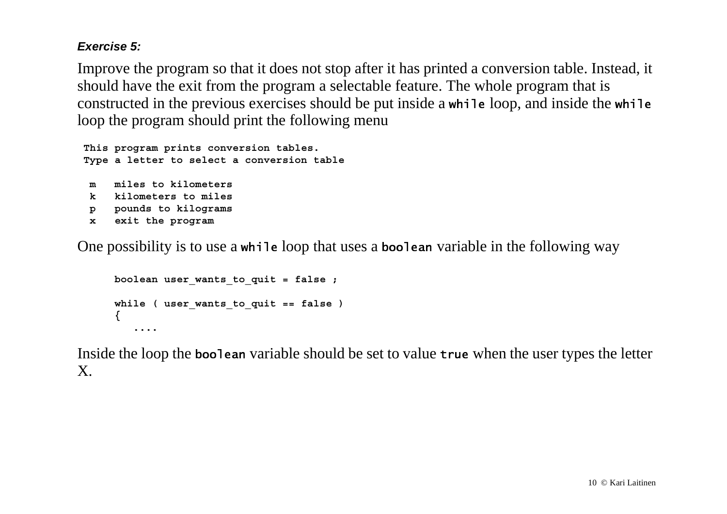#### *Exercise 5:*

Improve the program so that it does not stop after it has printed a conversion table. Instead, it should have the exit from the program a selectable feature. The whole program that is constructed in the previous exercises should be put inside a while loop, and inside the while loop the program should print the following menu

```
 This program prints conversion tables.
 Type a letter to select a conversion table
 m miles to kilometers k kilometers to miles p pounds to kilograms
  x exit the program
```
One possibility is to use a while loop that uses a boolean variable in the following way

```
 boolean user_wants_to_quit = false ;
 while ( user_wants_to_quit == false )
 {
    ....
```
Inside the loop the boo1ean variable should be set to value true when the user types the letter X.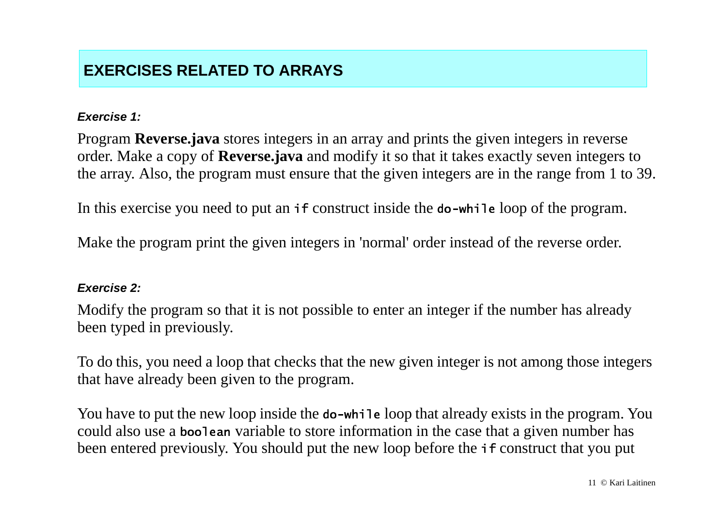## **EXERCISES RELATED TO ARRAYS**

#### *Exercise 1:*

Program **Reverse.java** stores integers in an array and prints the given integers in reverse order. Make a copy of **Reverse.java** and modify it so that it takes exactly seven integers to the array. Also, the program must ensure that the given integers are in the range from 1 to 39.

In this exercise you need to put an if construct inside the do-while loop of the program.

Make the program print the given integers in 'normal' order instead of the reverse order.

#### *Exercise 2:*

Modify the program so that it is not possible to enter an integer if the number has already been typed in previously.

To do this, you need a loop that checks that the new given integer is not among those integers that have already been given to the program.

You have to put the new loop inside the do-while loop that already exists in the program. You could also use a boolean variable to store information in the case that a given number has been entered previously. You should put the new loop before the *if* construct that you put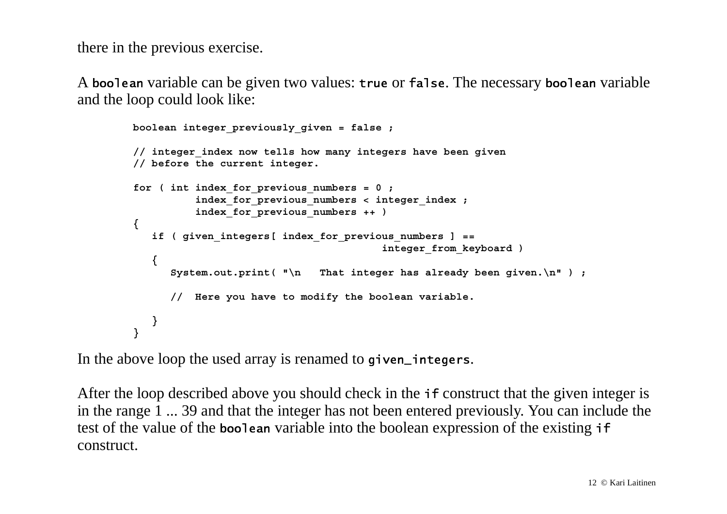there in the previous exercise.

A boo1ean variable can be given two values: true or fa1se. The necessary boo1ean variable and the loop could look like:

```
 boolean integer_previously_given = false ;
         // integer_index now tells how many integers have been given
         // before the current integer.
         for ( int index_for_previous_numbers = 0 ;
                   index_for_previous_numbers < integer_index ;
                   index_for_previous_numbers ++ )
 {
            if ( given_integers[ index_for_previous_numbers ] ==
                                                integer_from_keyboard )
 {
               System.out.print( "\n That integer has already been given.\n" ) ;
               // Here you have to modify the boolean variable.
            }
 }
```
In the above loop the used array is renamed to <code>given\_integers.</code>

After the loop described above you should check in the **if** construct that the given integer is in the range 1 ... 39 and that the integer has not been entered previously. You can include the test of the value of the boolean variable into the boolean expression of the existing if construct.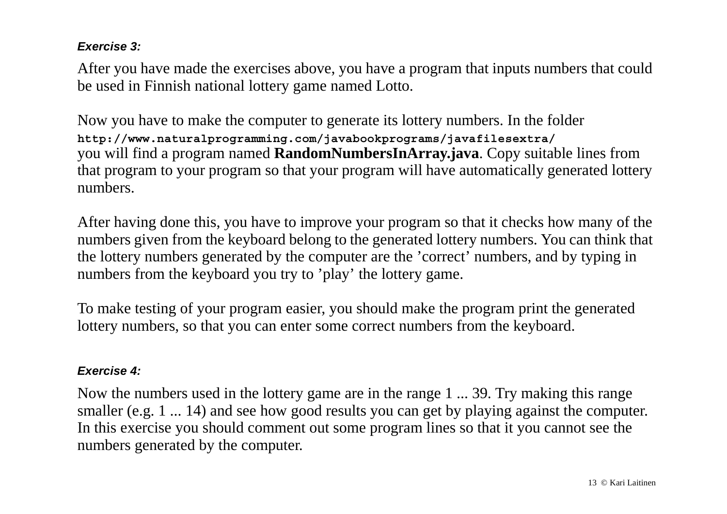#### *Exercise 3:*

After you have made the exercises above, you have a program that inputs numbers that could be used in Finnish national lottery game named Lotto.

Now you have to make the computer to generate its lottery numbers. In the folder **http://www.naturalprogramming.com/javabookprograms/javafilesextra/** you will find a program named **RandomNumbersInArray.java**. Copy suitable lines from that program to your program so that your program will have automatically generated lottery numbers.

After having done this, you have to improve your program so that it checks how many of the numbers given from the keyboard belong to the generated lottery numbers. You can think that the lottery numbers generated by the computer are the 'correct' numbers, and by typing in numbers from the keyboard you try to 'play' the lottery game.

To make testing of your program easier, you should make the program print the generated lottery numbers, so that you can enter some correct numbers from the keyboard.

#### *Exercise 4:*

Now the numbers used in the lottery game are in the range 1 ... 39. Try making this range smaller (e.g. 1 ... 14) and see how good results you can get by playing against the computer. In this exercise you should comment out some program lines so that it you cannot see the numbers generated by the computer.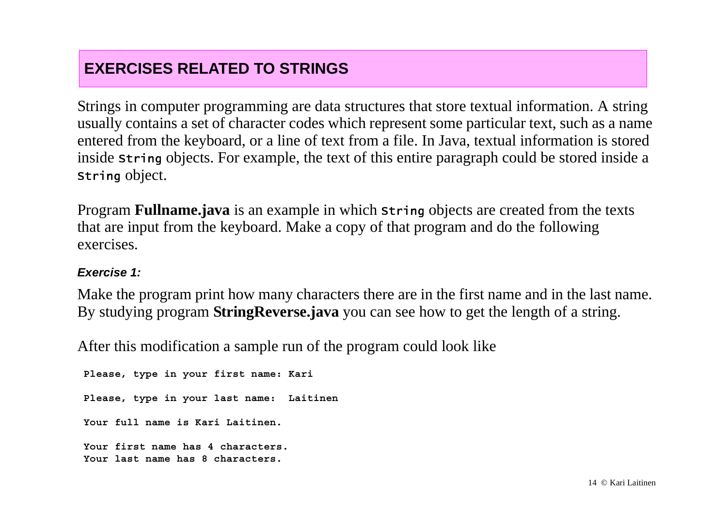## **EXERCISES RELATED TO STRINGS**

Strings in computer programming are data structures that store textual information. A string usually contains a set of character codes which represent some particular text, such as a name entered from the keyboard, or a line of text from a file. In Java, textual information is stored inside <code>string</code> objects. For example, the text of this entire paragraph could be stored inside a String object.

Program **Fullname.java** is an example in which string objects are created from the texts that are input from the keyboard. Make a copy of that program and do the following exercises.

#### *Exercise 1:*

Make the program print how many characters there are in the first name and in the last name. By studying program **StringReverse.java** you can see how to get the length of a string.

After this modification a sample run of the program could look like

 **Please, type in your first name: Kari Please, type in your last name: Laitinen Your full name is Kari Laitinen. Your first name has 4 characters. Your last name has 8 characters.**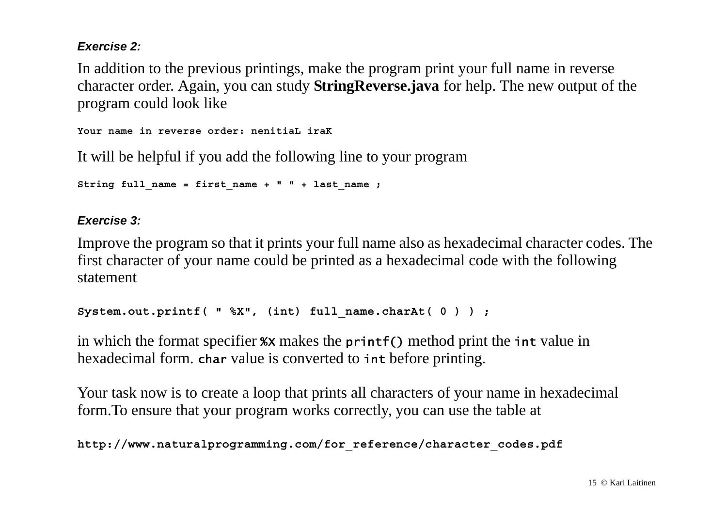#### *Exercise 2:*

In addition to the previous printings, make the program print your full name in reverse character order. Again, you can study **StringReverse.java** for help. The new output of the program could look like

**Your name in reverse order: nenitiaL iraK**

It will be helpful if you add the following line to your program

```
String full_name = first_name + " " + last_name ;
```
#### *Exercise 3:*

Improve the program so that it prints your full name also as hexadecimal character codes. The first character of your name could be printed as a hexadecimal code with the following statement

```
System.out.printf( " %X", (int) full_name.charAt( 0 ) ) ;
```
in which the format specifier  $\alpha x$  makes the printf() method print the int value in hexadecimal form. char value is converted to int before printing.

Your task now is to create a loop that prints all characters of your name in hexadecimal form.To ensure that your program works correctly, you can use the table at

```
http://www.naturalprogramming.com/for_reference/character_codes.pdf
```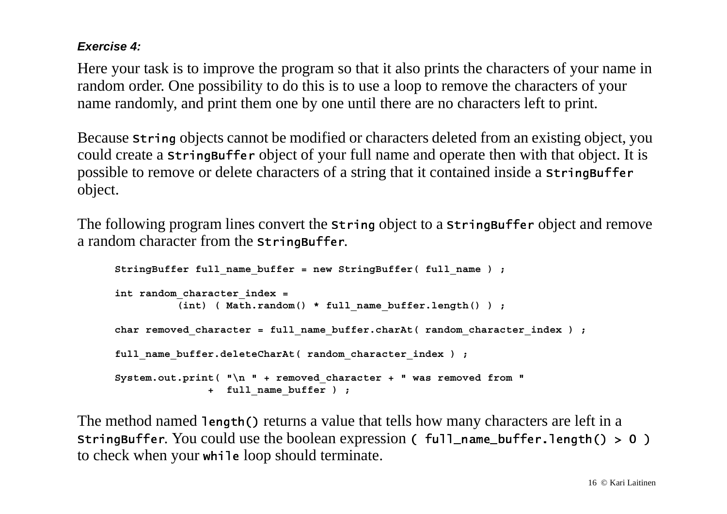#### *Exercise 4:*

Here your task is to improve the program so that it also prints the characters of your name in random order. One possibility to do this is to use a loop to remove the characters of your name randomly, and print them one by one until there are no characters left to print.

Because <code>string</code> objects cannot be modified or characters deleted from an existing object, you could create a <code>stringBuffer</code> object of your full name and operate then with that object. It is possible to remove or delete characters of a string that it contained inside a <code>stringBuffer</code> object.

The following program lines convert the string object to a stringBuffer object and remove a random character from the  $\sf{stringBuffer}.$ 

```
 StringBuffer full_name_buffer = new StringBuffer( full_name ) ;
 int random_character_index =
          (int) ( Math.random() * full name buffer.length() ) ;
char removed character = full name buffer.charAt( random character index ) ;
full name buffer.deleteCharAt( random character index ) ;
 System.out.print( "\n " + removed_character + " was removed from "
                + full_name_buffer ) ;
```
The method named 1ength() returns a value that tells how many characters are left in a <code>stringBuffer</code>. You could use the boolean expression ( <code>full\_name\_buffer.length() > 0 )</code> to check when your while loop should terminate.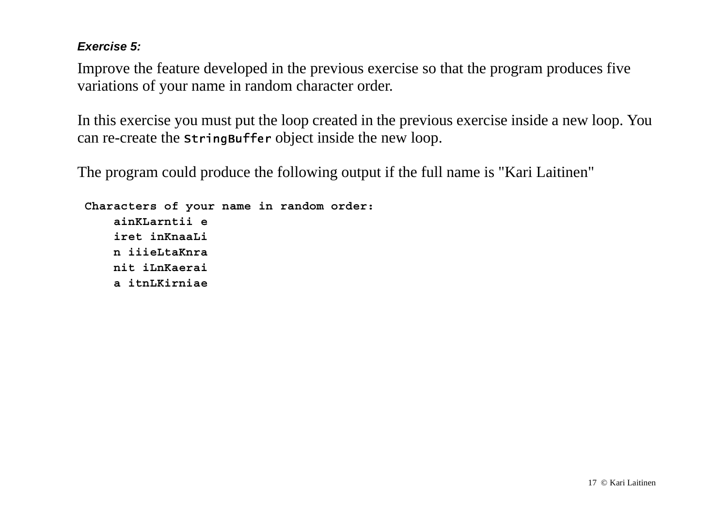#### *Exercise 5:*

Improve the feature developed in the previous exercise so that the program produces five variations of your name in random character order.

In this exercise you must put the loop created in the previous exercise inside a new loop. You can re-create the <code>stringBuffer</code> <code>object</code> inside the new loop.

The program could produce the following output if the full name is "Kari Laitinen"

```
 Characters of your name in random order:
     ainKLarntii e iret inKnaaLi n iiieLtaKnra nit iLnKaerai a itnLKirniae
```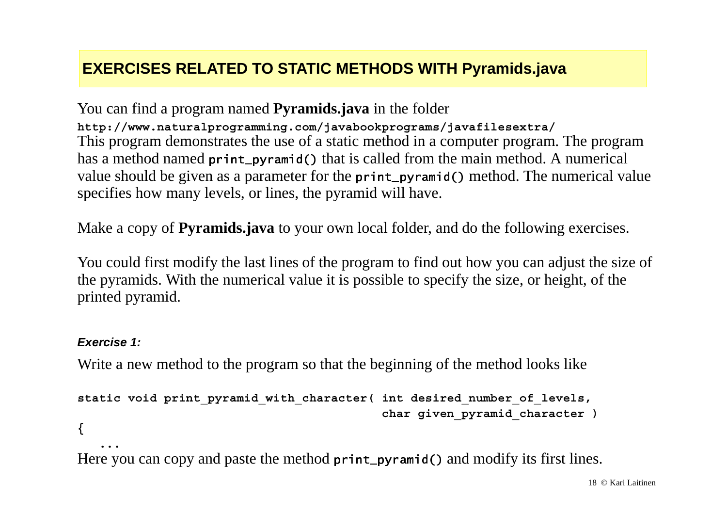## **EXERCISES RELATED TO STATIC METHODS WITH Pyramids.java**

You can find a program named **Pyramids.java** in the folder **http://www.naturalprogramming.com/javabookprograms/javafilesextra/** This program demonstrates the use of a static method in a computer program. The program has a method named print\_pyramid() that is called from the main method. A numerical value should be given as a parameter for the print\_pyramid() method. The numerical value specifies how many levels, or lines, the pyramid will have.

Make a copy of **Pyramids.java** to your own local folder, and do the following exercises.

You could first modify the last lines of the program to find out how you can adjust the size of the pyramids. With the numerical value it is possible to specify the size, or height, of the printed pyramid.

#### *Exercise 1:*

Write a new method to the program so that the beginning of the method looks like

```
static void print_pyramid_with_character( int desired_number_of_levels,
                                           char given_pyramid_character )
```
**{**

 **...**

Here you can copy and paste the method print\_pyramid() and modify its first lines.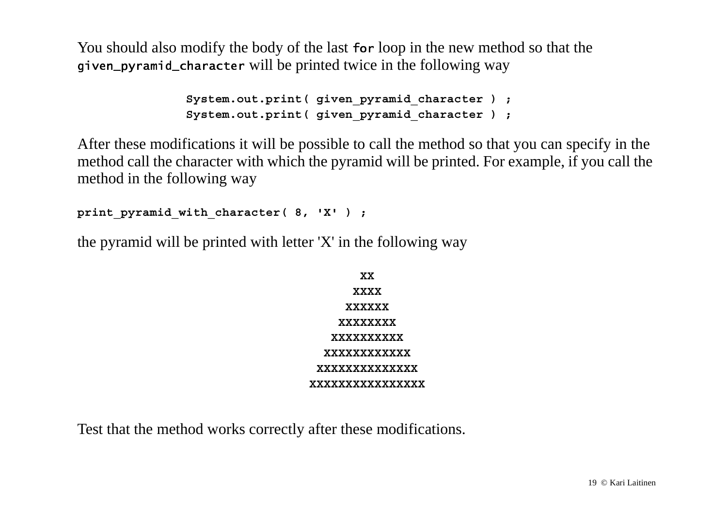You should also modify the body of the last for loop in the new method so that the given\_pyramid\_character will be printed twice in the following way

```
System.out.print( given pyramid character ) ;
System.out.print( given pyramid character ) ;
```
After these modifications it will be possible to call the method so that you can specify in the method call the character with which the pyramid will be printed. For example, if you call the method in the following way

```
print_pyramid_with_character( 8, 'X' ) ;
```
the pyramid will be printed with letter 'X' in the following way

| XX                |
|-------------------|
| <b>XXXX</b>       |
| <b>XXXXXX</b>     |
| <b>XXXXXXXX</b>   |
| <b>XXXXXXXXXX</b> |
| XXXXXXXXXXXX      |
| XXXXXXXXXXXXXX    |
| XXXXXXXXXXXXXXX   |

Test that the method works correctly after these modifications.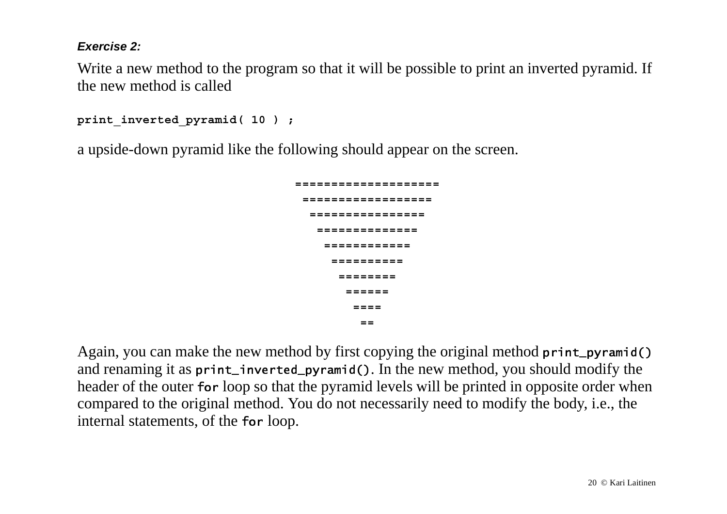#### *Exercise 2:*

Write a new method to the program so that it will be possible to print an inverted pyramid. If the new method is called

```
print_inverted_pyramid( 10 ) ;
```
a upside-down pyramid like the following should appear on the screen.

```
 ==================== ================== ================ ============== ============ ========== ======== ====== ==== ==
```
Again, you can make the new method by first copying the original method <code>print\_pyramid()</code> and renaming it as <code>print\_inverted\_pyramid().</code> In the new method, you should modify the header of the outer for loop so that the pyramid levels will be printed in opposite order when compared to the original method. You do not necessarily need to modify the body, i.e., the internal statements, of the for loop.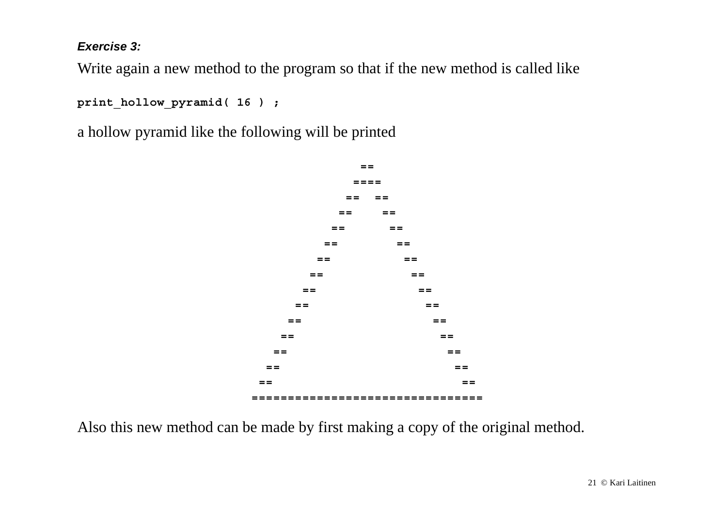*Exercise 3:*

Write again a new method to the program so that if the new method is called like

**print\_hollow\_pyramid( 16 ) ;**

a hollow pyramid like the following will be printed



Also this new method can be made by first making a copy of the original method.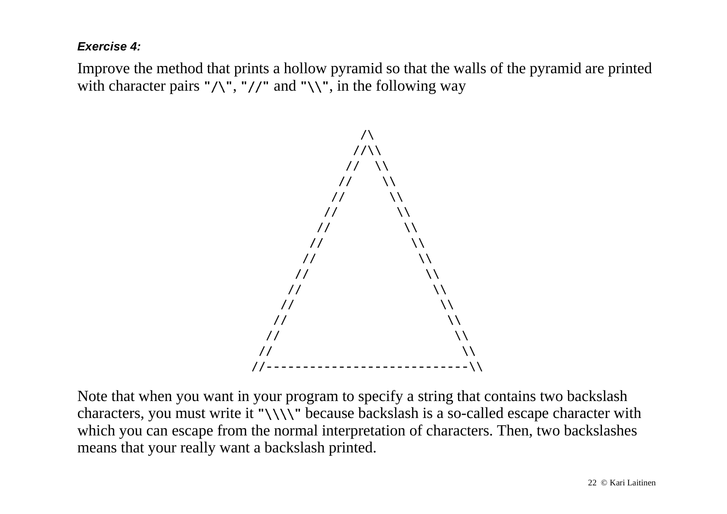#### *Exercise 4:*

Improve the method that prints a hollow pyramid so that the walls of the pyramid are printed with character pairs " $\wedge$ ", "//" and " $\wedge$ ", in the following way



Note that when you want in your program to specify a string that contains two backslash characters, you must write it " $\setminus \setminus \setminus$ " because backslash is a so-called escape character with which you can escape from the normal interpretation of characters. Then, two backslashes means that your really want a backslash printed.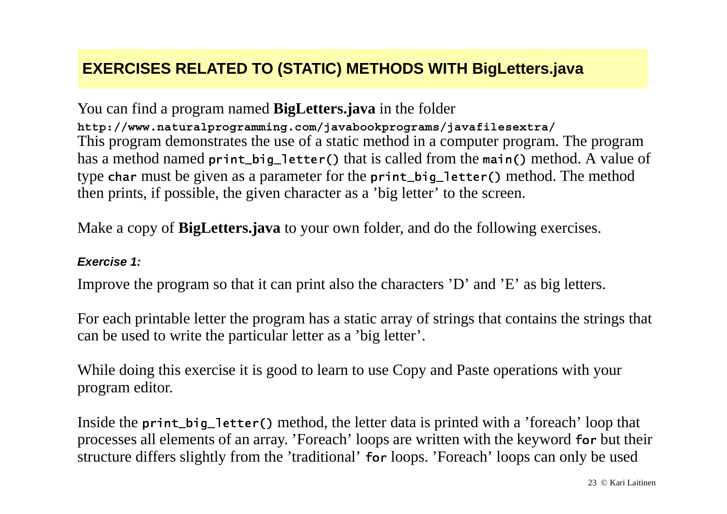## **EXERCISES RELATED TO (STATIC) METHODS WITH BigLetters.java**

You can find a program named **BigLetters.java** in the folder **http://www.naturalprogramming.com/javabookprograms/javafilesextra/** This program demonstrates the use of a static method in a computer program. The program has a method named <code>print\_big\_letter()</code> that is called from the <code>main()</code> method. A value of type char must be given as a parameter for the print\_big\_letter() method. The method then prints, if possible, the given character as a 'big letter' to the screen.

Make a copy of **BigLetters.java** to your own folder, and do the following exercises.

#### *Exercise 1:*

Improve the program so that it can print also the characters 'D' and 'E' as big letters.

For each printable letter the program has a static array of strings that contains the strings that can be used to write the particular letter as a 'big letter'.

While doing this exercise it is good to learn to use Copy and Paste operations with your program editor.

Inside the print\_big\_letter() method, the letter data is printed with a 'foreach' loop that processes all elements of an array. 'Foreach' loops are written with the keyword for but their structure differs slightly from the 'traditional' for loops. 'Foreach' loops can only be used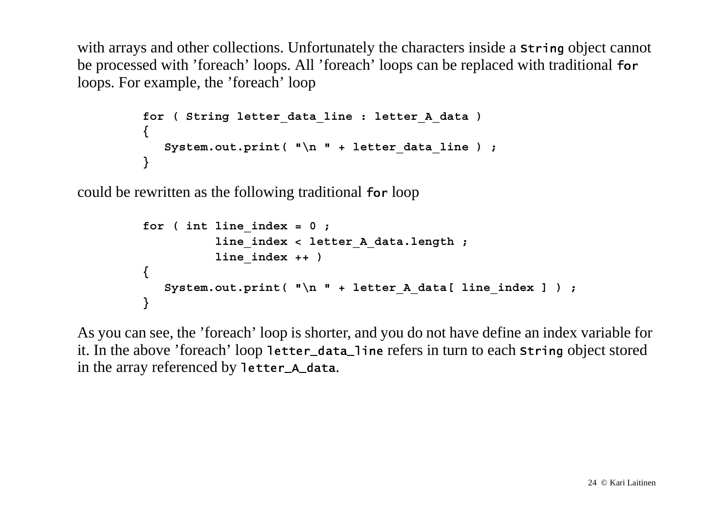with arrays and other collections. Unfortunately the characters inside a string object cannot be processed with 'foreach' loops. All 'foreach' loops can be replaced with traditional for loops. For example, the 'foreach' loop

```
 for ( String letter_data_line : letter_A_data )
 {
          System.out.print( "\n " + letter data line ) ;
 }
```
could be rewritten as the following traditional for loop

```
for ( int line index = 0 ;
                  line_index < letter_A_data.length ;
                  line_index ++ )
 {
           System.out.print( "\n " + letter A data[ line index ] ) ;
 }
```
As you can see, the 'foreach' loop is shorter, and you do not have define an index variable for it. In the above 'foreach' loop 1etter\_data\_1ine refers in turn to each <code>string</code> object stored in the array referenced by <code>letter\_a\_data</code>.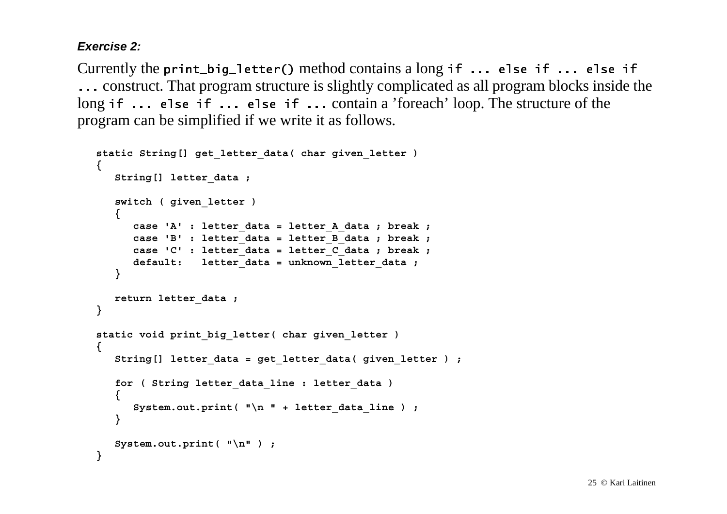#### *Exercise 2:*

Currently the <code>print\_big\_letter()</code> method contains a long <code>if ...</code> else <code>if ...</code> else <code>if</code> construct. That program structure is slightly complicated as all program blocks inside the long if ... else if ... else if ... contain a 'foreach' loop. The structure of the program can be simplified if we write it as follows.

```
 static String[] get_letter_data( char given_letter )
   {
      String[] letter_data ;
      switch ( given_letter )
 {
          case 'A' : letter_data = letter_A_data ; break ;
         case 'B' : letter_data = letter_B_data ; break ;
         case 'C' : letter_data = letter_C_data ; break ;
         default: letter_data = unknown_letter_data ;
      }
      return letter_data ;
   }
   static void print_big_letter( char given_letter )
 {
      String[] letter_data = get_letter_data( given_letter ) ;
      for ( String letter_data_line : letter_data )
 {
         System.out.print( "\n " + letter data line ) ;
 }
      System.out.print( "\n" ) ;
   }
```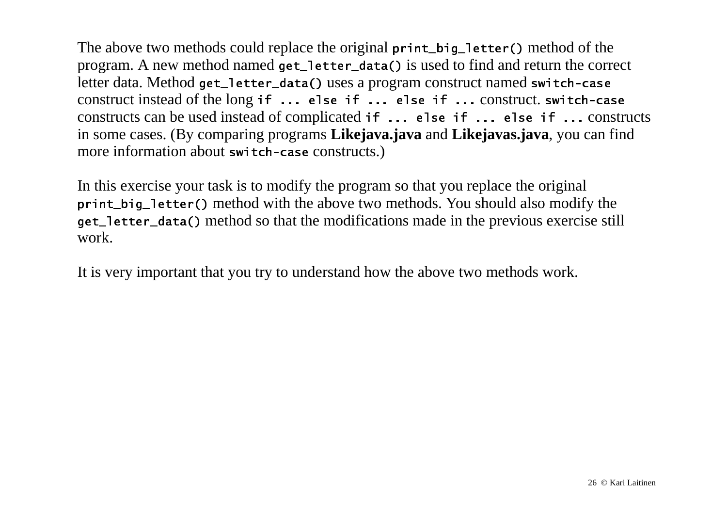The above two methods could replace the original  $\mathsf{print\_big\_letter}$  method of the program. A new method named <code>get\_letter\_data()</code> is used to find and return the correct letter data. Method get\_1etter\_data() uses a program construct named switch-case construct instead of the long <code>if ...</code> <code>else if ...</code> <code>else</code> <code>if ...</code> construct. <code>switch-case</code> constructs can be used instead of complicated  $if \ldots$  else  $if \ldots$  else  $if \ldots$  constructs in some cases. (By comparing programs **Likejava.java** and **Likejavas.java**, you can find more information about switch-case constructs.)

In this exercise your task is to modify the program so that you replace the original print\_big\_1etter() method with the above two methods. You should also modify the get\_1etter\_data() method so that the modifications made in the previous exercise still work.

It is very important that you try to understand how the above two methods work.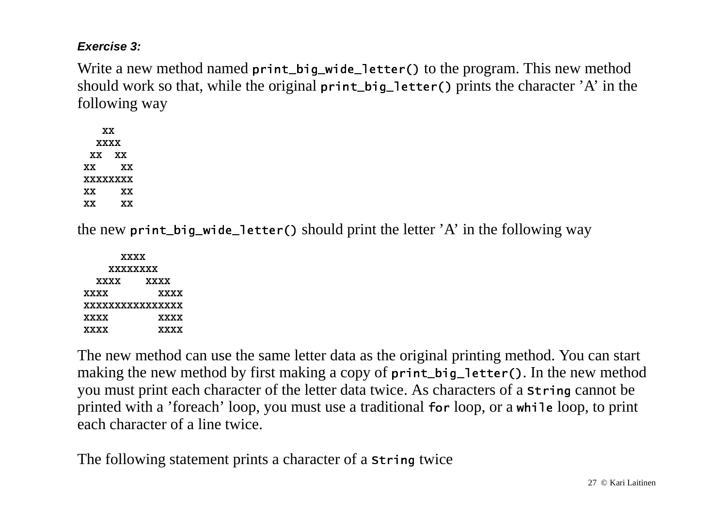#### *Exercise 3:*

Write a new method named print\_big\_wide\_letter() to the program. This new method should work so that, while the original  $\mathsf{print\_big\_letter}$  ( ) prints the character 'A' in the following way

 **XX XXXX XX XX XX XX XXXXXXXX XX XX XX XX**

the new print\_big\_wide\_letter() should print the letter 'A' in the following way

 **XXXX XXXXXXXX XXXX XXXX XXXX XXXX XXXXXXXXXXXXXXXX XXXX XXXX XXXX XXXX**

The new method can use the same letter data as the original printing method. You can start making the new method by first making a copy of <code>print\_big\_letter()</code>. In the new method you must print each character of the letter data twice. As characters of a <code>string</code> cannot be printed with a 'foreach' loop, you must use a traditional for loop, or a while loop, to print each character of a line twice.

The following statement prints a character of a string twice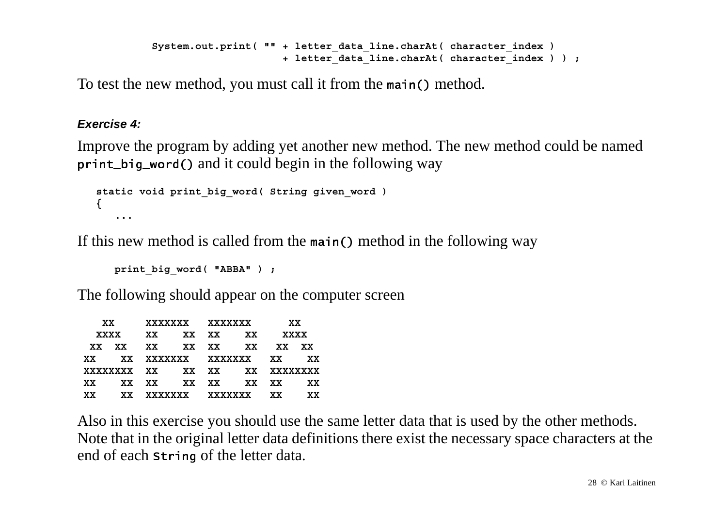```
System.out.print( "" + letter data line.charAt( character index )
                      + letter_data_line.charAt( character_index ) ) ;
```
To test the new method, you must call it from the main() method.

#### *Exercise 4:*

Improve the program by adding yet another new method. The new method could be named print\_big\_word() and it could begin in the following way

```
 static void print_big_word( String given_word )
   {
 ...
```
If this new method is called from the main() method in the following way

 **print\_big\_word( "ABBA" ) ;**

The following should appear on the computer screen

|     | XX —        |       |                | xxxxxxx xxxxxxx               |       | XX   |     |
|-----|-------------|-------|----------------|-------------------------------|-------|------|-----|
|     | <b>XXXX</b> | xx    |                | xx xx xx                      |       | xxxx |     |
|     | xx xx       |       |                | xx xx xx xx                   |       | XX   | XX. |
|     |             |       |                | xx xx xxxxxxx xxxxxxx xx      |       |      | XX  |
|     |             |       |                | xxxxxxxx xx xx xx xx xxxxxxxx |       |      |     |
| XX. |             | xx xx |                | xx xx                         | xx xx |      | XX  |
| XX. | XX.         |       | <b>XXXXXXX</b> | xxxxxxx                       |       | XX.  | xх  |

Also in this exercise you should use the same letter data that is used by the other methods. Note that in the original letter data definitions there exist the necessary space characters at the end of each <code>string</code> of the letter data.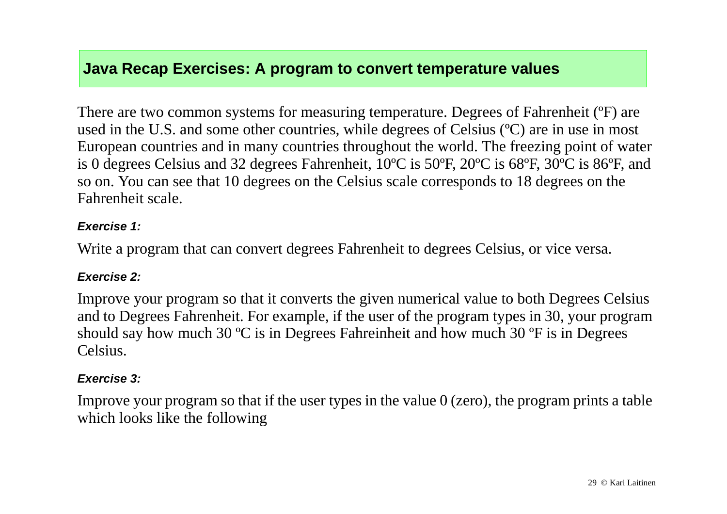### **Java Recap Exercises: A program to convert temperature values**

There are two common systems for measuring temperature. Degrees of Fahrenheit (ºF) are used in the U.S. and some other countries, while degrees of Celsius (ºC) are in use in most European countries and in many countries throughout the world. The freezing point of water is 0 degrees Celsius and 32 degrees Fahrenheit, 10ºC is 50ºF, 20ºC is 68ºF, 30ºC is 86ºF, and so on. You can see that 10 degrees on the Celsius scale corresponds to 18 degrees on the Fahrenheit scale.

#### *Exercise 1:*

Write a program that can convert degrees Fahrenheit to degrees Celsius, or vice versa.

#### *Exercise 2:*

Improve your program so that it converts the given numerical value to both Degrees Celsius and to Degrees Fahrenheit. For example, if the user of the program types in 30, your program should say how much 30 ºC is in Degrees Fahreinheit and how much 30 ºF is in Degrees Celsius.

#### *Exercise 3:*

Improve your program so that if the user types in the value  $0$  (zero), the program prints a table which looks like the following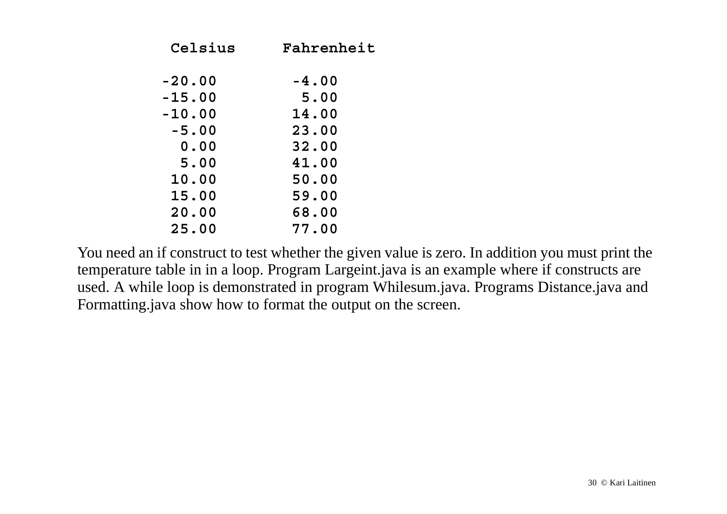| Celsius  | Fahrenheit |
|----------|------------|
| $-20.00$ | $-4.00$    |
| $-15.00$ | 5.00       |
| $-10.00$ | 14.00      |
| $-5.00$  | 23.00      |
| 0.00     | 32.00      |
| 5.00     | 41.00      |
| 10.00    | 50.00      |
| 15.00    | 59.00      |
| 20.00    | 68.00      |
| 25.00    | 77.00      |

You need an if construct to test whether the given value is zero. In addition you must print the temperature table in in a loop. Program Largeint.java is an example where if constructs are used. A while loop is demonstrated in program Whilesum.java. Programs Distance.java and Formatting.java show how to format the output on the screen.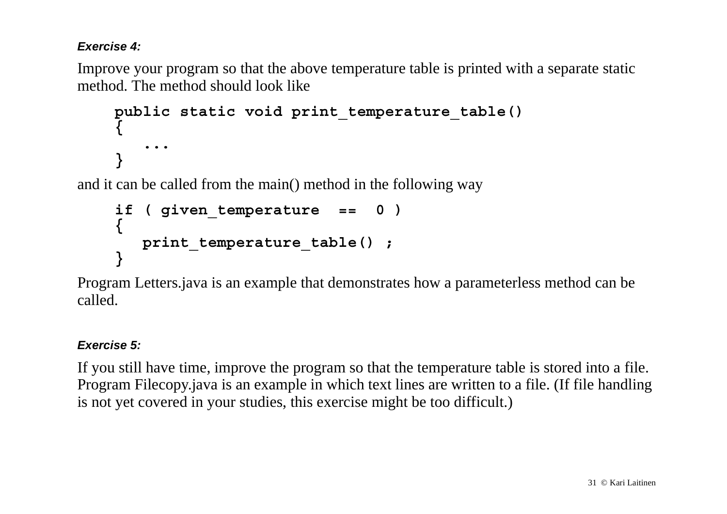### *Exercise 4:*

Improve your program so that the above temperature table is printed with a separate static method. The method should look like

```
public static void print_temperature_table()
{
    ...}
```
and it can be called from the main() method in the following way

```
if ( given_temperature == 0 )
{
  print temperature table();
}
```
Program Letters.java is an example that demonstrates how a parameterless method can be called.

#### *Exercise 5:*

If you still have time, improve the program so that the temperature table is stored into a file. Program Filecopy.java is an example in which text lines are written to a file. (If file handling is not yet covered in your studies, this exercise might be too difficult.)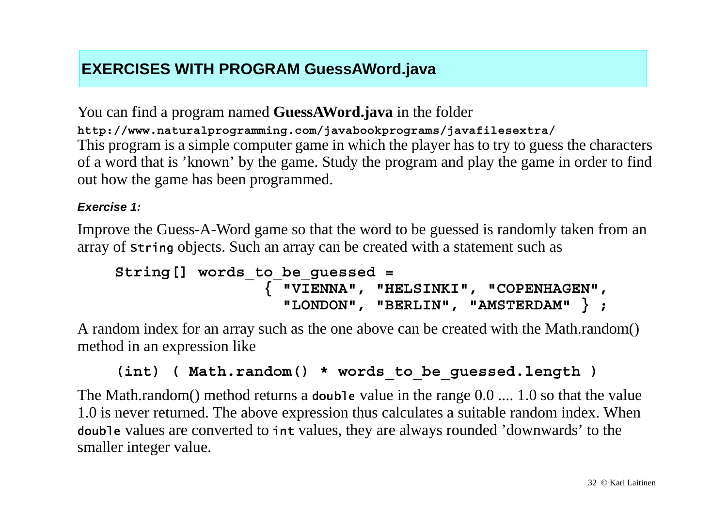## **EXERCISES WITH PROGRAM GuessAWord.java**

You can find a program named **GuessAWord.java** in the folder **http://www.naturalprogramming.com/javabookprograms/javafilesextra/** This program is a simple computer game in which the player has to try to guess the characters of a word that is 'known' by the game. Study the program and play the game in order to find out how the game has been programmed.

#### *Exercise 1:*

Improve the Guess-A-Word game so that the word to be guessed is randomly taken from an array of <code>string</code> objects. Such an array can be created with a statement such as

```
String[] words_to_be_guessed = 
                  { "VIENNA", "HELSINKI", "COPENHAGEN",
                    "LONDON", "BERLIN", "AMSTERDAM" } ;
```
A random index for an array such as the one above can be created with the Math.random() method in an expression like

```
(int) ( Math.random() * words_to_be_guessed.length )
```
The Math.random() method returns a **double** value in the range  $0.0 \dots 1.0$  so that the value 1.0 is never returned. The above expression thus calculates a suitable random index. When doub1e values are converted to <code>int</code> values, they are always rounded 'downwards' to the smaller integer value.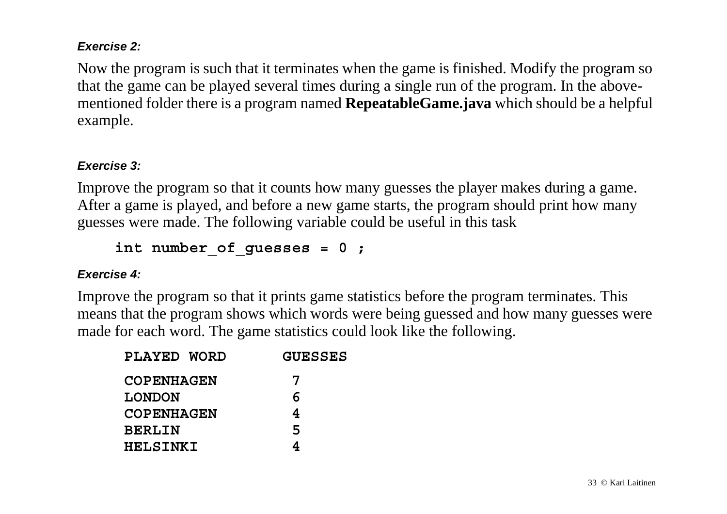#### *Exercise 2:*

Now the program is such that it terminates when the game is finished. Modify the program so that the game can be played several times during a single run of the program. In the abovementioned folder there is a program named **RepeatableGame.java** which should be a helpful example.

#### *Exercise 3:*

Improve the program so that it counts how many guesses the player makes during a game. After a game is played, and before a new game starts, the program should print how many guesses were made. The following variable could be useful in this task

```
int number_of_guesses = 0 ;
```
#### *Exercise 4:*

Improve the program so that it prints game statistics before the program terminates. This means that the program shows which words were being guessed and how many guesses were made for each word. The game statistics could look like the following.

| PLAYED WORD       | <b>GUESSES</b> |
|-------------------|----------------|
| <b>COPENHAGEN</b> | 7              |
| <b>LONDON</b>     | 6              |
| <b>COPENHAGEN</b> | 4              |
| <b>BERLIN</b>     | 5              |
| <b>HELSINKI</b>   |                |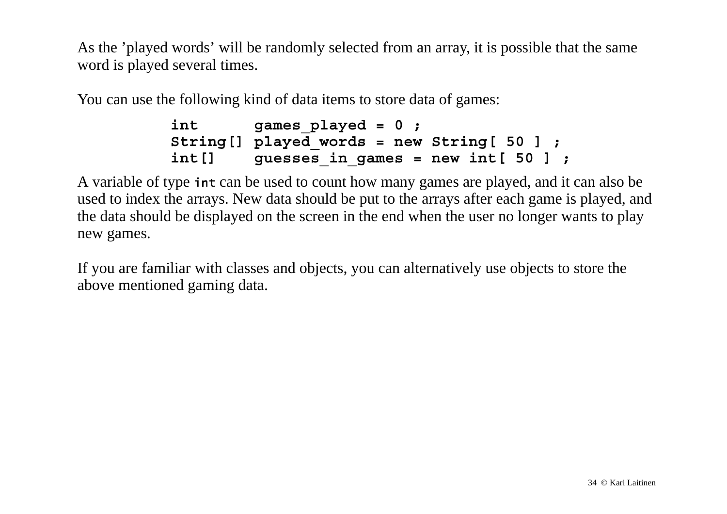As the 'played words' will be randomly selected from an array, it is possible that the same word is played several times.

You can use the following kind of data items to store data of games:

```
int games played = 0 ;
 String[] played_words = new String[ 50 ] ;
 int[] guesses_in_games = new int[ 50 ] ;
```
A variable of type <code>int</code> can be used to count how many games are played, and it can also be used to index the arrays. New data should be put to the arrays after each game is played, and the data should be displayed on the screen in the end when the user no longer wants to play new games.

If you are familiar with classes and objects, you can alternatively use objects to store the above mentioned gaming data.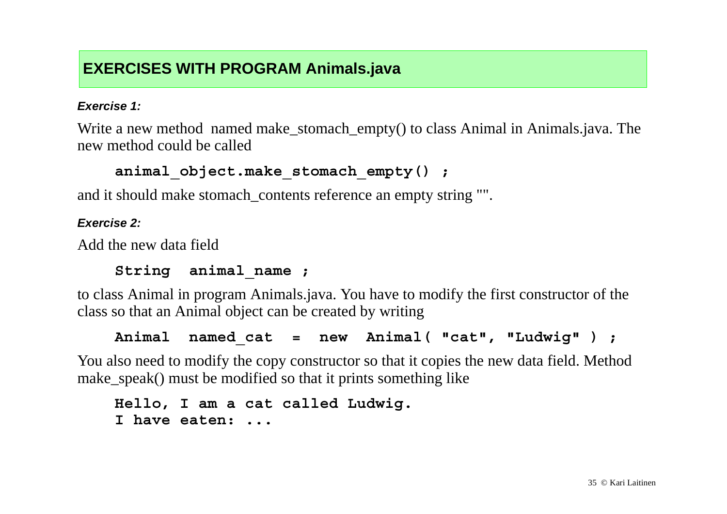### **EXERCISES WITH PROGRAM Animals.java**

#### *Exercise 1:*

Write a new method named make\_stomach\_empty() to class Animal in Animals.java. The new method could be called

```
animal_object.make_stomach_empty() ;
```
and it should make stomach contents reference an empty string "".

#### *Exercise 2:*

Add the new data field

### **String animal\_name ;**

to class Animal in program Animals.java. You have to modify the first constructor of the class so that an Animal object can be created by writing

**Animal named\_cat = new Animal( "cat", "Ludwig" ) ;**

You also need to modify the copy constructor so that it copies the new data field. Method make\_speak() must be modified so that it prints something like

```
Hello, I am a cat called Ludwig.
I have eaten: ...
```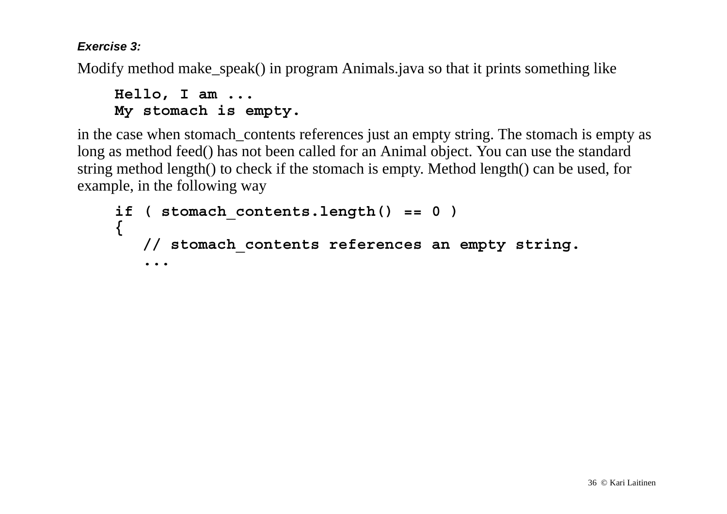*Exercise 3:*

Modify method make\_speak() in program Animals.java so that it prints something like

```
Hello, I am ...
My stomach is empty.
```
in the case when stomach\_contents references just an empty string. The stomach is empty as long as method feed() has not been called for an Animal object. You can use the standard string method length() to check if the stomach is empty. Method length() can be used, for example, in the following way

```
if ( stomach_contents.length() == 0 )
{
    // stomach_contents references an empty string.
    ...
```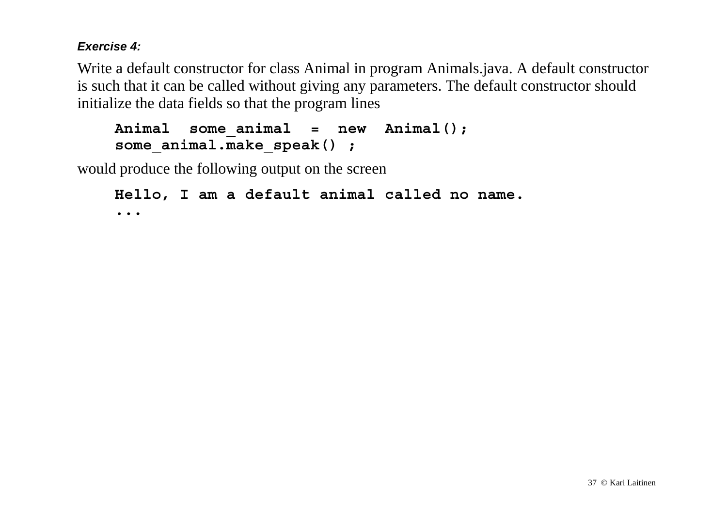#### *Exercise 4:*

Write a default constructor for class Animal in program Animals.java. A default constructor is such that it can be called without giving any parameters. The default constructor should initialize the data fields so that the program lines

```
Animal some_animal = new Animal();
some_animal.make_speak() ;
```
would produce the following output on the screen

```
Hello, I am a default animal called no name.
...
```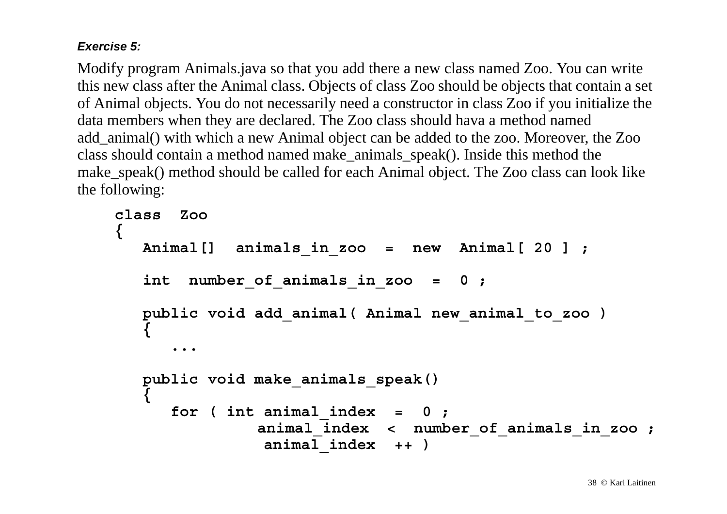### *Exercise 5:*

Modify program Animals.java so that you add there a new class named Zoo. You can write this new class after the Animal class. Objects of class Zoo should be objects that contain a set of Animal objects. You do not necessarily need a constructor in class Zoo if you initialize the data members when they are declared. The Zoo class should hava a method named add\_animal() with which a new Animal object can be added to the zoo. Moreover, the Zoo class should contain a method named make\_animals\_speak(). Inside this method the make\_speak() method should be called for each Animal object. The Zoo class can look like the following:

```
class Zoo{
   Animal[] animals_in_zoo = new Animal[ 20 ] ;
    int number_of_animals_in_zoo = 0 ;
   public void add_animal( Animal new_animal_to_zoo )
 {
 ...
   public void make_animals_speak()
 {
      for ( int animal_index = 0 ;
                animal_index < number_of_animals_in_zoo ;
                animal_index ++ )
```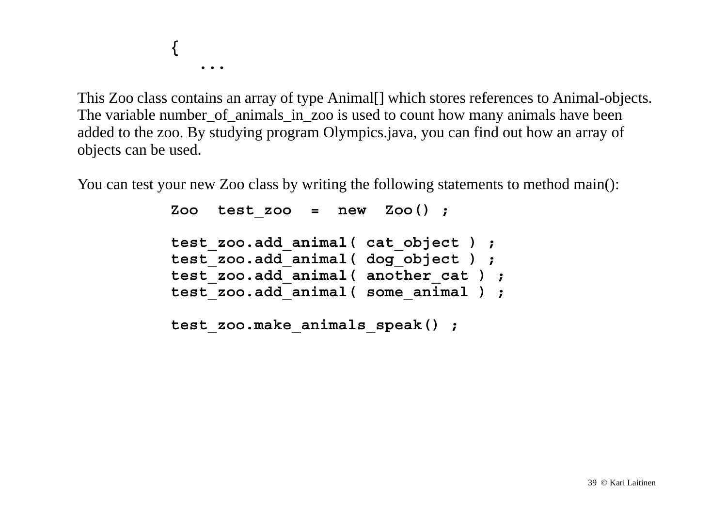**{ ...**

This Zoo class contains an array of type Animal[] which stores references to Animal-objects. The variable number of animals in zoo is used to count how many animals have been added to the zoo. By studying program Olympics.java, you can find out how an array of objects can be used.

You can test your new Zoo class by writing the following statements to method main():

```
 Zoo test_zoo = new Zoo() ;
 test_zoo.add_animal( cat_object ) ;
 test_zoo.add_animal( dog_object ) ;
 test_zoo.add_animal( another_cat ) ;
 test_zoo.add_animal( some_animal ) ;
 test_zoo.make_animals_speak() ;
```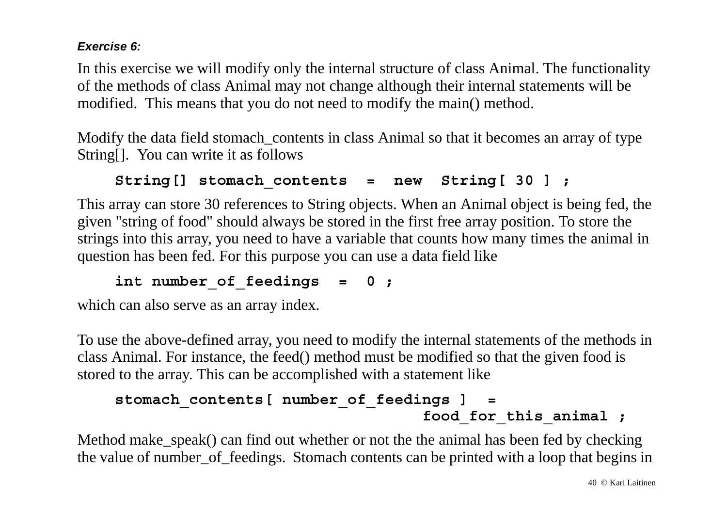### *Exercise 6:*

In this exercise we will modify only the internal structure of class Animal. The functionality of the methods of class Animal may not change although their internal statements will be modified. This means that you do not need to modify the main() method.

Modify the data field stomach contents in class Animal so that it becomes an array of type String[]. You can write it as follows

```
String[] stomach_contents = new String[ 30 ] ;
```
This array can store 30 references to String objects. When an Animal object is being fed, the given "string of food" should always be stored in the first free array position. To store the strings into this array, you need to have a variable that counts how many times the animal in question has been fed. For this purpose you can use a data field like

```
int number_of_feedings = 0 ;
```
which can also serve as an array index.

To use the above-defined array, you need to modify the internal statements of the methods in class Animal. For instance, the feed() method must be modified so that the given food is stored to the array. This can be accomplished with a statement like

```
stomach contents[ number of feedings ] =
                                 food for this animal ;
```
Method make\_speak() can find out whether or not the the animal has been fed by checking the value of number\_of\_feedings. Stomach contents can be printed with a loop that begins in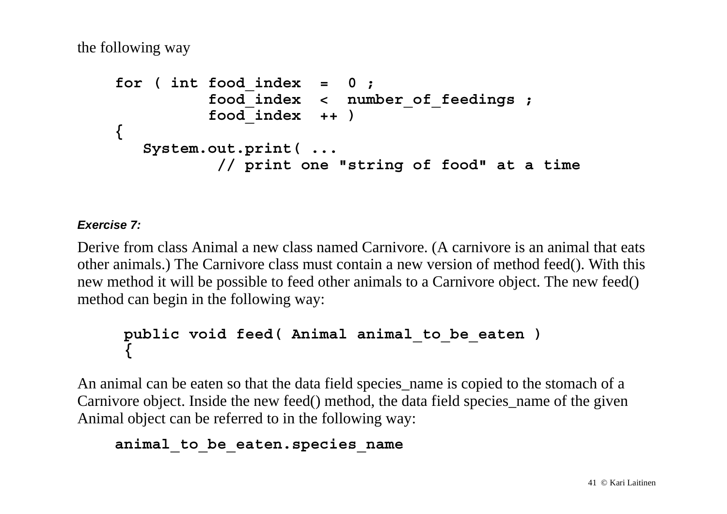the following way

```
for ( int food_index = 0 ;
           food_index < number_of_feedings ;
           food_index ++ )
{
    System.out.print( ...
            // print one "string of food" at a time
```
#### *Exercise 7:*

Derive from class Animal a new class named Carnivore. (A carnivore is an animal that eats other animals.) The Carnivore class must contain a new version of method feed(). With this new method it will be possible to feed other animals to a Carnivore object. The new feed() method can begin in the following way:

### **public void feed( Animal animal\_to\_be\_eaten ) {**

An animal can be eaten so that the data field species\_name is copied to the stomach of a Carnivore object. Inside the new feed() method, the data field species\_name of the given Animal object can be referred to in the following way:

### **animal\_to\_be\_eaten.species\_name**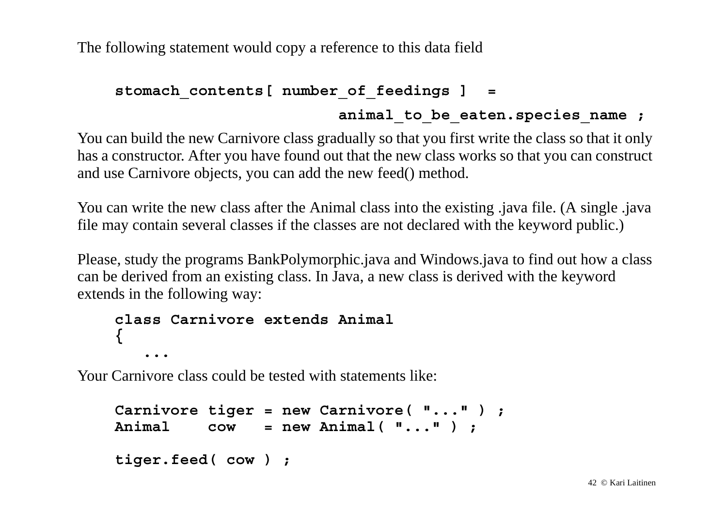The following statement would copy a reference to this data field

```
stomach contents[ number of feedings ] =
```
### animal to be eaten.species name ;

You can build the new Carnivore class gradually so that you first write the class so that it only has a constructor. After you have found out that the new class works so that you can construct and use Carnivore objects, you can add the new feed() method.

You can write the new class after the Animal class into the existing .java file. (A single .java file may contain several classes if the classes are not declared with the keyword public.)

Please, study the programs BankPolymorphic.java and Windows.java to find out how a class can be derived from an existing class. In Java, a new class is derived with the keyword extends in the following way:

```
class Carnivore extends Animal{
    ...
```
Your Carnivore class could be tested with statements like:

```
Carnivore tiger = new Carnivore( "..." ) ;
Animal cow = new Animal( "..." ) ;
tiger.feed( cow ) ;
```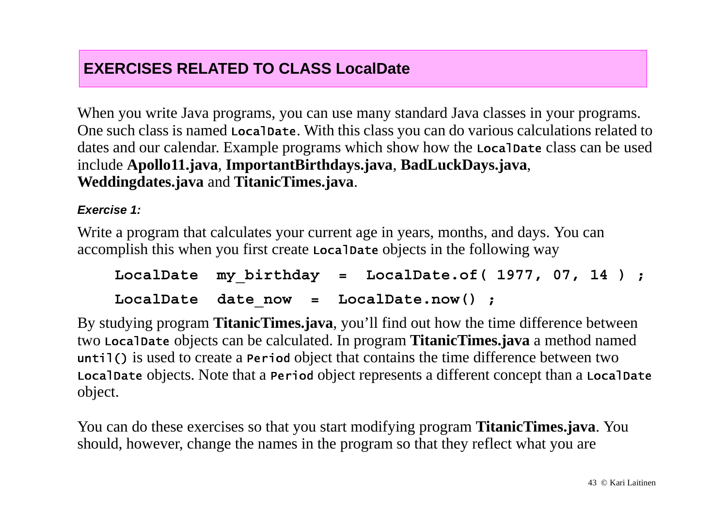### **EXERCISES RELATED TO CLASS LocalDate**

When you write Java programs, you can use many standard Java classes in your programs. One such class is named <code>Loca1Date</code>. With this class you can do various calculations related to dates and our calendar. Example programs which show how the <code>Local</code>Date class can be used include **Apollo11.java**, **ImportantBirthdays.java**, **BadLuckDays.java**, **Weddingdates.java** and **TitanicTimes.java**.

#### *Exercise 1:*

Write a program that calculates your current age in years, months, and days. You can accomplish this when you first create Loca1Date objects in the following way

```
LocalDate my birthday = LocalDate.of ( 1977, 07, 14 ) ;
LocalDate date now = LocalDate.now() ;
```
By studying program **TitanicTimes.java**, you'll find out how the time difference between two L**ocalDate** objects can be calculated. In program **TitanicTimes.java** a method named until() is used to create a Period object that contains the time difference between two Loca1Date <code>objects.</code> Note that a <code>Period</code> object represents a different concept than a <code>Loca1Date</code> object.

You can do these exercises so that you start modifying program **TitanicTimes.java**. You should, however, change the names in the program so that they reflect what you are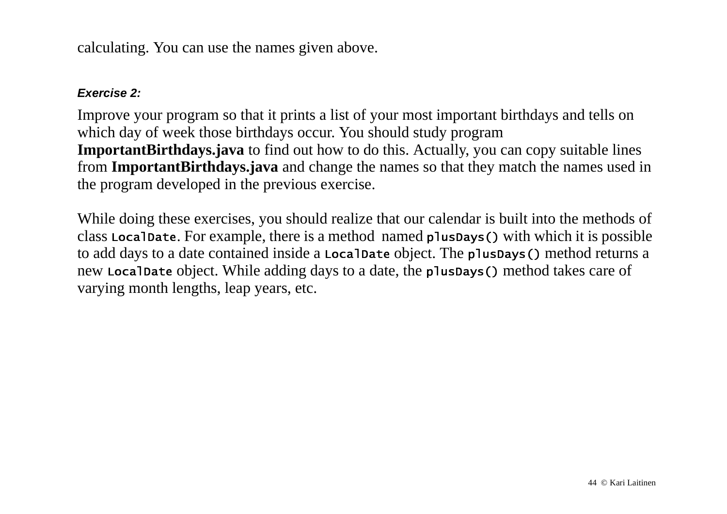calculating. You can use the names given above.

#### *Exercise 2:*

Improve your program so that it prints a list of your most important birthdays and tells on which day of week those birthdays occur. You should study program **ImportantBirthdays.java** to find out how to do this. Actually, you can copy suitable lines from **ImportantBirthdays.java** and change the names so that they match the names used in the program developed in the previous exercise.

While doing these exercises, you should realize that our calendar is built into the methods of class Loca1Date. For example, there is a method named <code>p1usDays()</code> with which it is possible to add days to a date contained inside a <code>LocalDate</code> object. The <code>plusDays()</code> method returns a new Loca1Date object. While adding days to a date, the <code>p1usDays()</code> method takes care of varying month lengths, leap years, etc.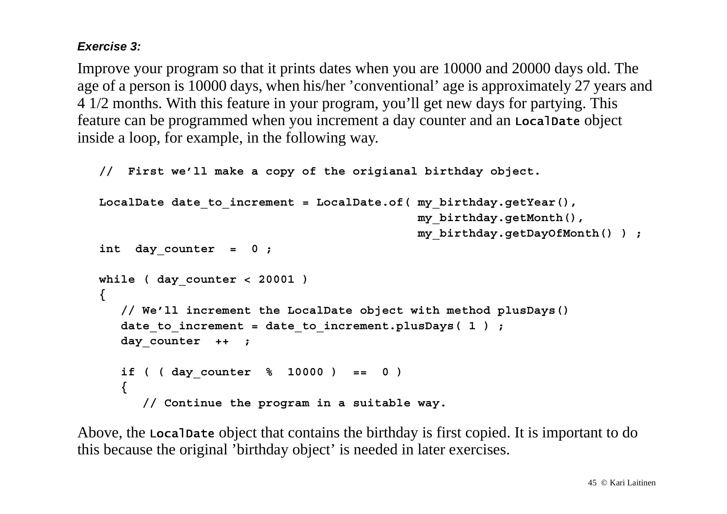### *Exercise 3:*

Improve your program so that it prints dates when you are 10000 and 20000 days old. The age of a person is 10000 days, when his/her 'conventional' age is approximately 27 years and 4 1/2 months. With this feature in your program, you'll get new days for partying. This feature can be programmed when you increment a day counter and an <code>Local</code>Date <code>object</code> inside a loop, for example, in the following way.

```
 // First we'll make a copy of the origianal birthday object.
LocalDate date to increment = LocalDate.of( my birthday.getYear(),
                                              my_birthday.getMonth(),
                                             my_birthday.getDayOfMonth() ) ;
int day counter = 0 ;
 while ( day_counter < 20001 )
 {
    // We'll increment the LocalDate object with method plusDays()
   date to increment = date to increment.plusDays( 1 ) ;
    day_counter ++ ;
    if ( ( day_counter % 10000 ) == 0 )
    { 
       // Continue the program in a suitable way.
```
Above, the LocalDate object that contains the birthday is first copied. It is important to do this because the original 'birthday object' is needed in later exercises.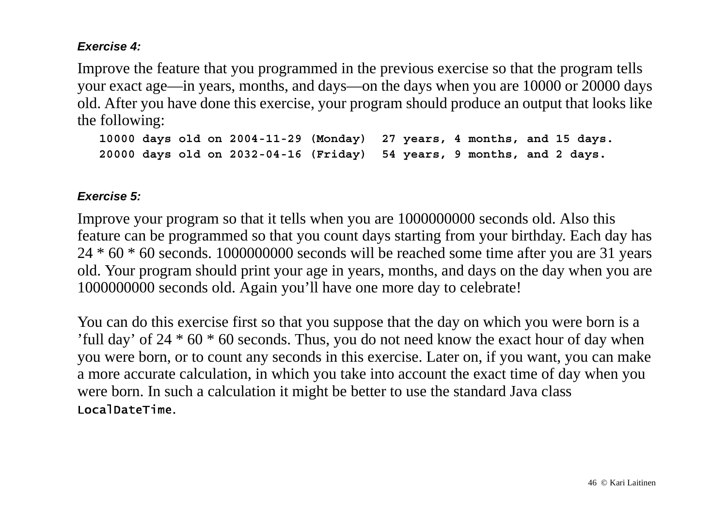#### *Exercise 4:*

Improve the feature that you programmed in the previous exercise so that the program tells your exact age—in years, months, and days—on the days when you are 10000 or 20000 days old. After you have done this exercise, your program should produce an output that looks like the following:

```
 10000 days old on 2004-11-29 (Monday) 27 years, 4 months, and 15 days.
 20000 days old on 2032-04-16 (Friday) 54 years, 9 months, and 2 days.
```
#### *Exercise 5:*

Improve your program so that it tells when you are 1000000000 seconds old. Also this feature can be programmed so that you count days starting from your birthday. Each day has 24 \* 60 \* 60 seconds. 1000000000 seconds will be reached some time after you are 31 years old. Your program should print your age in years, months, and days on the day when you are 1000000000 seconds old. Again you'll have one more day to celebrate!

You can do this exercise first so that you suppose that the day on which you were born is a 'full day' of  $24 * 60 * 60$  seconds. Thus, you do not need know the exact hour of day when you were born, or to count any seconds in this exercise. Later on, if you want, you can make a more accurate calculation, in which you take into account the exact time of day when you were born. In such a calculation it might be better to use the standard Java class LocalDateTime.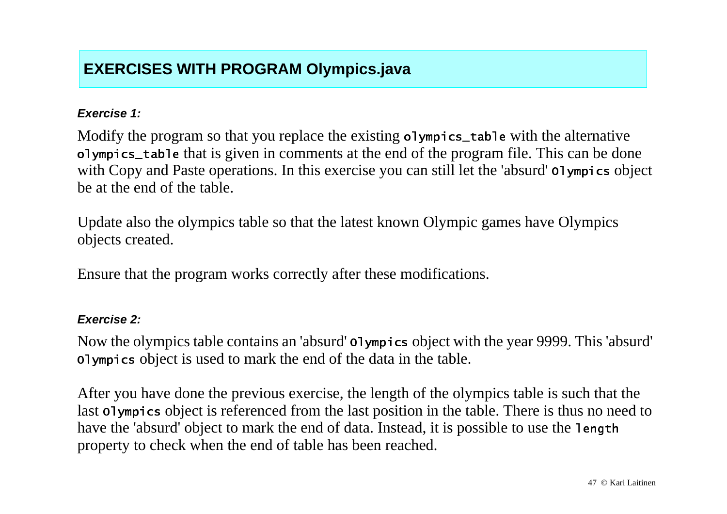## **EXERCISES WITH PROGRAM Olympics.java**

#### *Exercise 1:*

Modify the program so that you replace the existing olympics\_table with the alternative olympics\_table that is given in comments at the end of the program file. This can be done with Copy and Paste operations. In this exercise you can still let the 'absurd' olympics object be at the end of the table.

Update also the olympics table so that the latest known Olympic games have Olympics objects created.

Ensure that the program works correctly after these modifications.

#### *Exercise 2:*

Now the olympics table contains an 'absurd' **o**lympics object with the year 9999. This 'absurd' olympics object is used to mark the end of the data in the table.

After you have done the previous exercise, the length of the olympics table is such that the last olympics object is referenced from the last position in the table. There is thus no need to have the 'absurd' object to mark the end of data. Instead, it is possible to use the <code>length</code> property to check when the end of table has been reached.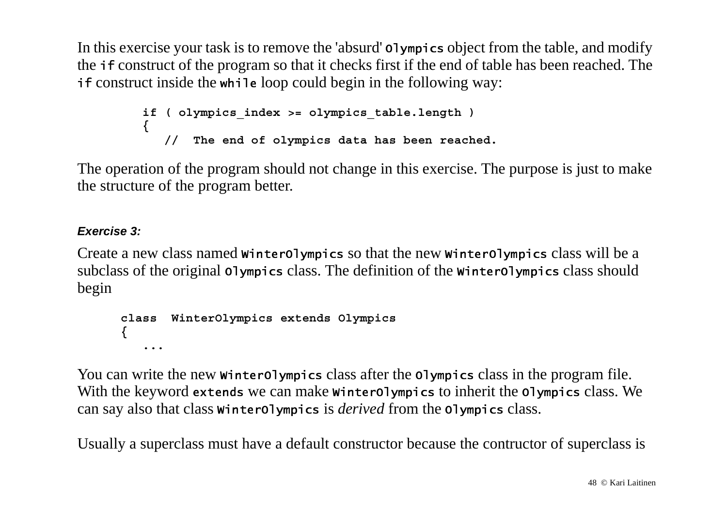In this exercise your task is to remove the 'absurd' olympics object from the table, and modify the *if* construct of the program so that it checks first if the end of table has been reached. The if construct inside the while loop could begin in the following way:

```
 if ( olympics_index >= olympics_table.length )
 {
            // The end of olympics data has been reached.
```
The operation of the program should not change in this exercise. The purpose is just to make the structure of the program better.

### *Exercise 3:*

Create a new class named winter<code>olympics</code> so that the new winter<code>olympics</code> class will be a subclass of the original  $\mathsf{olymplies}$  class. The definition of the <code>winterOlympics</code> class should begin

```
 class WinterOlympics extends Olympics
 {
    ...
```
You can write the new winterolympics class after the olympics class in the program file. With the keyword extends we can make winter01ympics to inherit the 01ympics class. We can say also that class winter**o**lympics is  $derived$  from the <code>olympics</code> class.

Usually a superclass must have a default constructor because the contructor of superclass is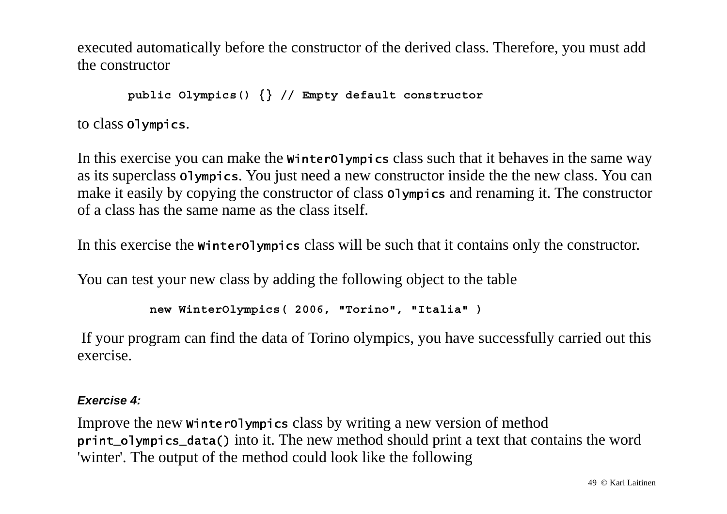executed automatically before the constructor of the derived class. Therefore, you must add the constructor

 **public Olympics() {} // Empty default constructor**

to class olympics.

In this exercise you can make the winterolympics class such that it behaves in the same way as its superclass olympics. You just need a new constructor inside the the new class. You can make it easily by copying the constructor of class olympics and renaming it. The constructor of a class has the same name as the class itself.

In this exercise the winterolympics class will be such that it contains only the constructor.

You can test your new class by adding the following object to the table

```
 new WinterOlympics( 2006, "Torino", "Italia" )
```
 If your program can find the data of Torino olympics, you have successfully carried out this exercise.

#### *Exercise 4:*

Improve the new winterolympics class by writing a new version of method print\_olympics\_data() into it. The new method should print a text that contains the word 'winter'. The output of the method could look like the following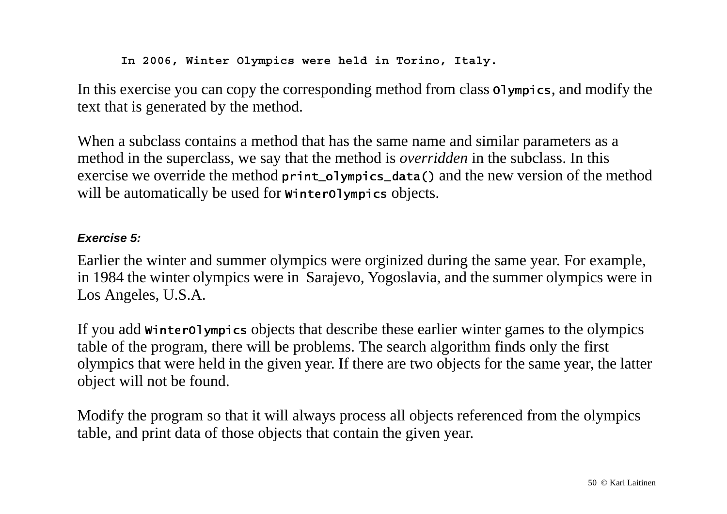**In 2006, Winter Olympics were held in Torino, Italy.**

In this exercise you can copy the corresponding method from class olympics, and modify the text that is generated by the method.

When a subclass contains a method that has the same name and similar parameters as a method in the superclass, we say that the method is *overridden* in the subclass. In this exercise we override the method  $\text{print_o1ympics_data}$  and the new version of the method will be automatically be used for winter<code>olympics</code> objects.

### *Exercise 5:*

Earlier the winter and summer olympics were orginized during the same year. For example, in 1984 the winter olympics were in Sarajevo, Yogoslavia, and the summer olympics were in Los Angeles, U.S.A.

If you add winterolympics objects that describe these earlier winter games to the olympics table of the program, there will be problems. The search algorithm finds only the first olympics that were held in the given year. If there are two objects for the same year, the latter object will not be found.

Modify the program so that it will always process all objects referenced from the olympics table, and print data of those objects that contain the given year.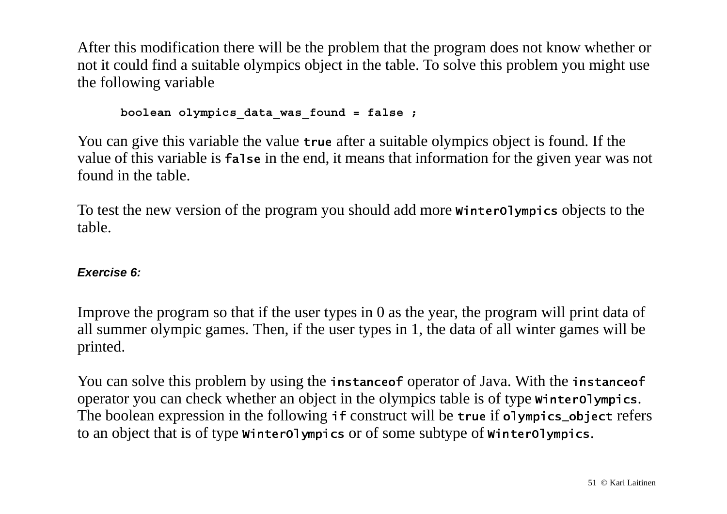After this modification there will be the problem that the program does not know whether or not it could find a suitable olympics object in the table. To solve this problem you might use the following variable

 **boolean olympics\_data\_was\_found = false ;**

You can give this variable the value true after a suitable olympics object is found. If the value of this variable is **false** in the end, it means that information for the given year was not found in the table.

To test the new version of the program you should add more winterolympics objects to the table.

#### *Exercise 6:*

Improve the program so that if the user types in 0 as the year, the program will print data of all summer olympic games. Then, if the user types in 1, the data of all winter games will be printed.

You can solve this problem by using the <code>instanceof</code> operator of Java. With the <code>instanceof</code> operator you can check whether an object in the olympics table is of type winter<code>olympics.</code> The boolean expression in the following  $\,$  if construct will be true if <code>olympics\_object</code> refers to an object that is of type winter<code>olympics</code> or of some subtype of winter<code>olympics</code>.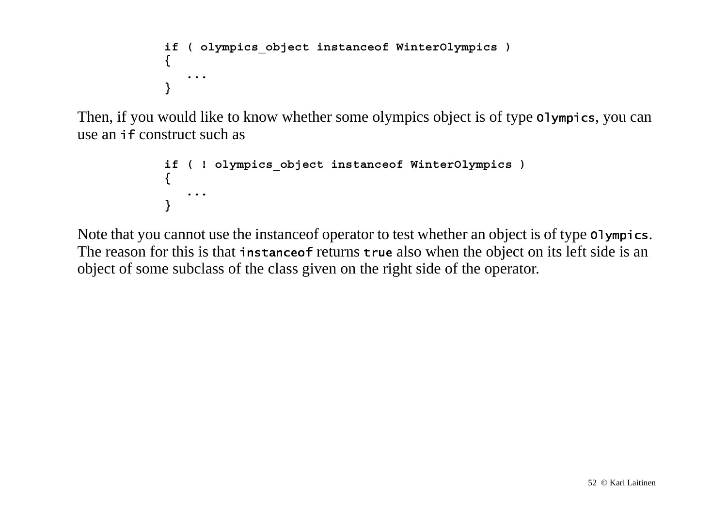```
 if ( olympics_object instanceof WinterOlympics )
 {
 ...
 }
```
Then, if you would like to know whether some olympics object is of type olympics, you can use an *if* construct such as

```
 if ( ! olympics_object instanceof WinterOlympics )
 {
             ... }
```
Note that you cannot use the instance of operator to test whether an object is of type olympics. The reason for this is that instanceof returns true also when the object on its left side is an object of some subclass of the class given on the right side of the operator.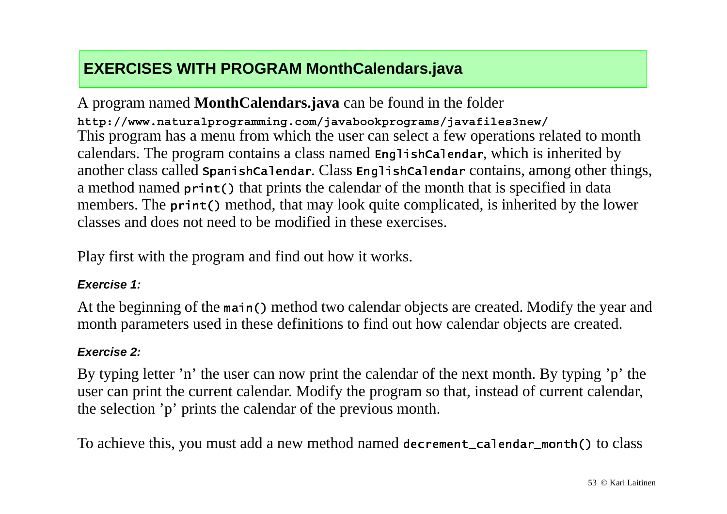## **EXERCISES WITH PROGRAM MonthCalendars.java**

A program named **MonthCalendars.java** can be found in the folder **http://www.naturalprogramming.com/javabookprograms/javafiles3new/** This program has a menu from which the user can select a few operations related to month calendars. The program contains a class named <code>EnglishCalendar</code>, which is inherited by another class called <code>spanishCalendar. Class <code>EnglishCalendar</code> contains, among other things,</code> a method named print() that prints the calendar of the month that is specified in data members. The print() method, that may look quite complicated, is inherited by the lower classes and does not need to be modified in these exercises.

Play first with the program and find out how it works.

#### *Exercise 1:*

At the beginning of the main() method two calendar objects are created. Modify the year and month parameters used in these definitions to find out how calendar objects are created.

#### *Exercise 2:*

By typing letter 'n' the user can now print the calendar of the next month. By typing 'p' the user can print the current calendar. Modify the program so that, instead of current calendar, the selection 'p' prints the calendar of the previous month.

To achieve this, you must add a new method named decrement\_calendar\_month() to class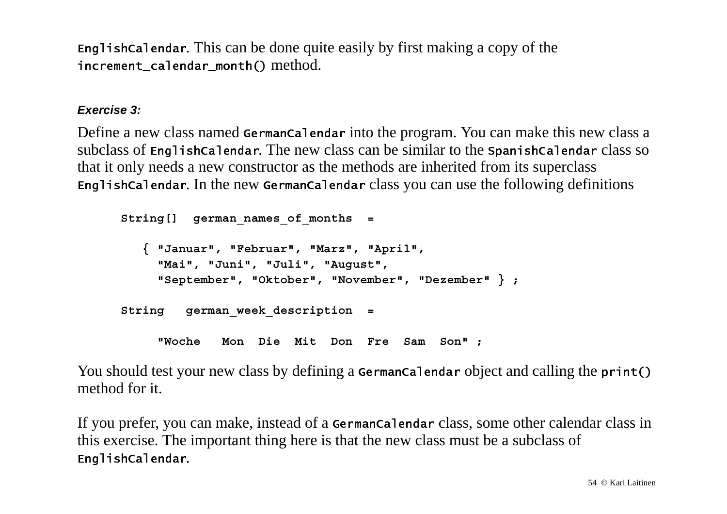<code>EnglishCalendar</code>. This can be done quite easily by first making a copy of the -- --  method.

#### *Exercise 3:*

Define a new class named **Germancalendar** into the program. You can make this new class a  $subclass$  of <code>EnglishCalendar</code>. The new class can be similar to the <code>spanishCalendar</code> class so that it only needs a new constructor as the methods are inherited from its superclass <code>Englishcalendar</code>. In the new <code>Germancalendar</code> class you can use the following definitions

```
 String[] german_names_of_months =
    { "Januar", "Februar", "Marz", "April",
      "Mai", "Juni", "Juli", "August",
      "September", "Oktober", "November", "Dezember" } ;
 String german_week_description =
      "Woche Mon Die Mit Don Fre Sam Son" ;
```
You should test your new class by defining a <code>Germancalendar</code> object and calling the <code>print()</code> method for it.

If you prefer, you can make, instead of a **Germancalendar** class, some other calendar class in this exercise. The important thing here is that the new class must be a subclass of EnglishCalendar.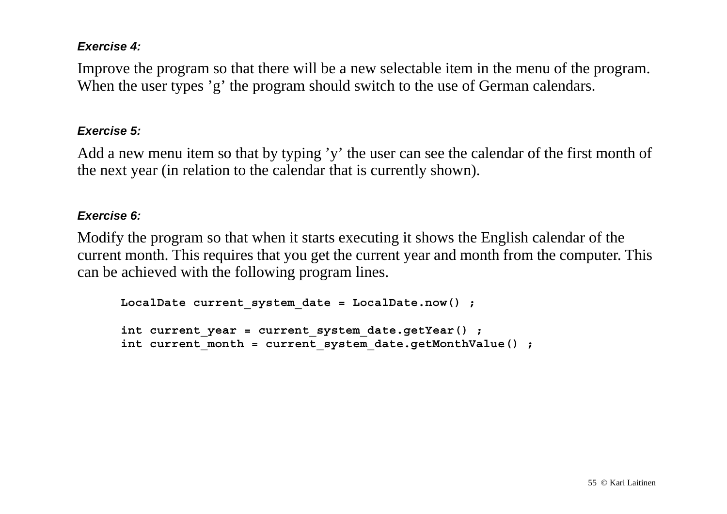#### *Exercise 4:*

Improve the program so that there will be a new selectable item in the menu of the program. When the user types 'g' the program should switch to the use of German calendars.

#### *Exercise 5:*

Add a new menu item so that by typing 'y' the user can see the calendar of the first month of the next year (in relation to the calendar that is currently shown).

#### *Exercise 6:*

Modify the program so that when it starts executing it shows the English calendar of the current month. This requires that you get the current year and month from the computer. This can be achieved with the following program lines.

```
 LocalDate current_system_date = LocalDate.now() ;
 int current_year = current_system_date.getYear() ;
 int current_month = current_system_date.getMonthValue() ;
```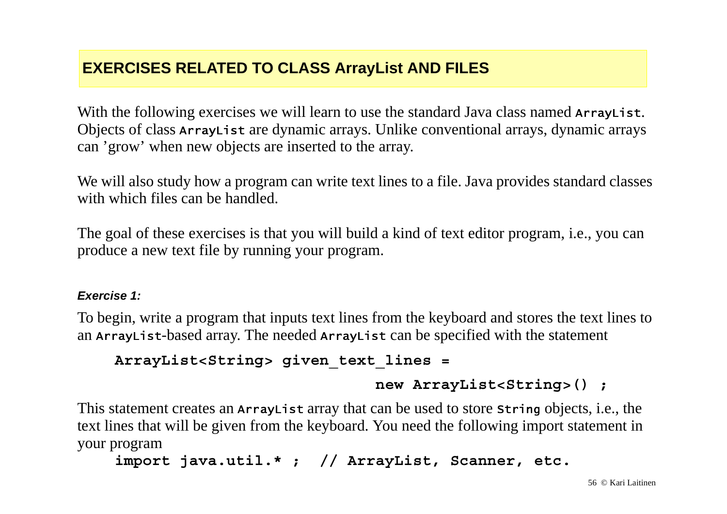## **EXERCISES RELATED TO CLASS ArrayList AND FILES**

With the following exercises we will learn to use the standard Java class named ArrayList. Objects of class Array<code>List</code> are dynamic arrays. Unlike conventional arrays, dynamic arrays can 'grow' when new objects are inserted to the array.

We will also study how a program can write text lines to a file. Java provides standard classes with which files can be handled.

The goal of these exercises is that you will build a kind of text editor program, i.e., you can produce a new text file by running your program.

#### *Exercise 1:*

To begin, write a program that inputs text lines from the keyboard and stores the text lines to an Array<code>List-b</code>ased array. The needed <code>ArrayList</code> can be specified with the statement

```
ArrayList<String> given_text_lines =
```

```
 new ArrayList<String>() ;
```
This statement creates an ArrayList array that can be used to store string objects, i.e., the text lines that will be given from the keyboard. You need the following import statement in your program

```
import java.util.* ; // ArrayList, Scanner, etc.
```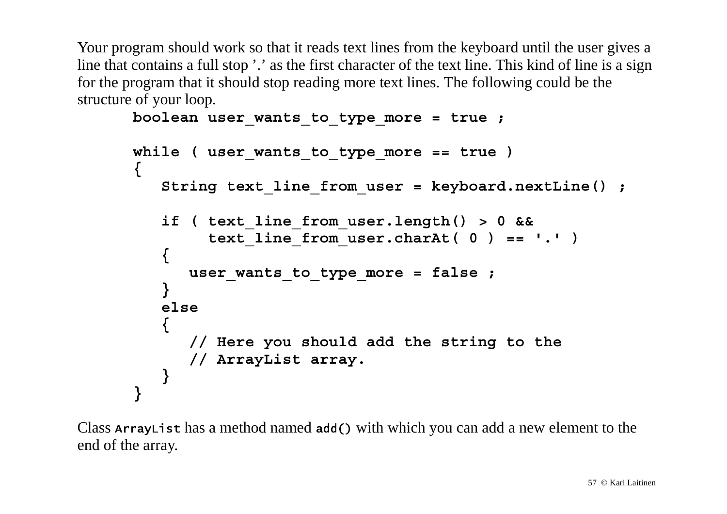Your program should work so that it reads text lines from the keyboard until the user gives a line that contains a full stop '.' as the first character of the text line. This kind of line is a sign for the program that it should stop reading more text lines. The following could be the structure of your loop.

```
 boolean user_wants_to_type_more = true ;
     while ( user wants to type more == true )
      {
         String text_line_from_user = keyboard.nextLine() ;
         if ( text_line_from_user.length() > 0 &&
              text_line_from_user.charAt( 0 ) == '.' )
 {
            user_wants_to_type_more = false ;
 }
         else {
            // Here you should add the string to the
            // ArrayList array.
 }
 }
```
Class Array<code>List</code> has a method named add() with which you can add a new element to the end of the array.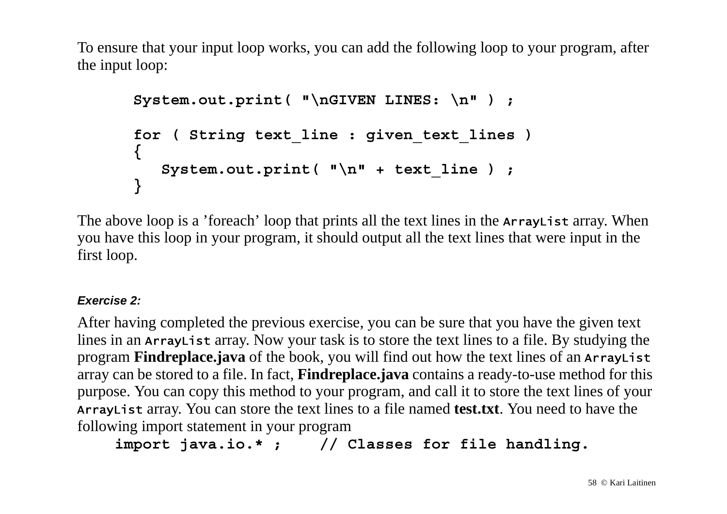To ensure that your input loop works, you can add the following loop to your program, after the input loop:

```
 System.out.print( "\nGIVEN LINES: \n" ) ;
 for ( String text_line : given_text_lines )
 {
    System.out.print( "\n" + text_line ) ;
 }
```
The above loop is a 'foreach' loop that prints all the text lines in the Array List array. When you have this loop in your program, it should output all the text lines that were input in the first loop.

### *Exercise 2:*

After having completed the previous exercise, you can be sure that you have the given text lines in an ArrayList array. Now your task is to store the text lines to a file. By studying the program **Findreplace.java** of the book, you will find out how the text lines of an **ArrayList** array can be stored to a file. In fact, **Findreplace.java** contains a ready-to-use method for this purpose. You can copy this method to your program, and call it to store the text lines of your Array List array. You can store the text lines to a file named **test.txt**. You need to have the following import statement in your program

**import java.io.\* ; // Classes for file handling.**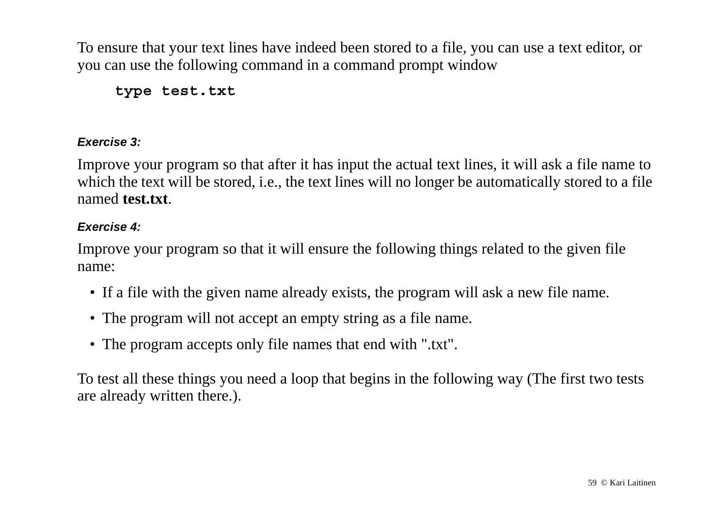To ensure that your text lines have indeed been stored to a file, you can use a text editor, or you can use the following command in a command prompt window

**type test.txt**

#### *Exercise 3:*

Improve your program so that after it has input the actual text lines, it will ask a file name to which the text will be stored, i.e., the text lines will no longer be automatically stored to a file named **test.txt**.

### *Exercise 4:*

Improve your program so that it will ensure the following things related to the given file name:

- If a file with the given name already exists, the program will ask a new file name.
- The program will not accept an empty string as a file name.
- The program accepts only file names that end with ".txt".

To test all these things you need a loop that begins in the following way (The first two tests are already written there.).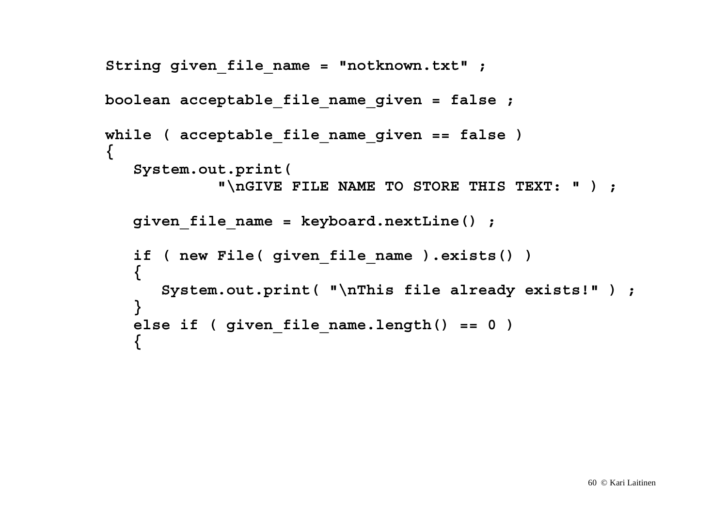```
 String given_file_name = "notknown.txt" ;
   boolean acceptable_file_name_given = false ;
   while ( acceptable_file_name_given == false )
   {
      System.out.print(
                "\nGIVE FILE NAME TO STORE THIS TEXT: " ) ;
      given_file_name = keyboard.nextLine() ;
      if ( new File( given_file_name ).exists() )
 {
         System.out.print( "\nThis file already exists!" ) ;
 }
      else if ( given_file_name.length() == 0 )
 {
```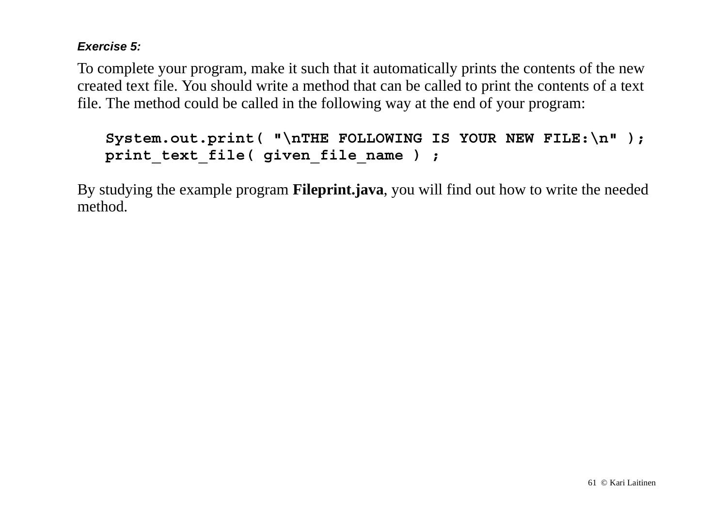#### *Exercise 5:*

To complete your program, make it such that it automatically prints the contents of the new created text file. You should write a method that can be called to print the contents of a text file. The method could be called in the following way at the end of your program:

```
 System.out.print( "\nTHE FOLLOWING IS YOUR NEW FILE:\n" );
print text file( given file name ) ;
```
By studying the example program **Fileprint.java**, you will find out how to write the needed method.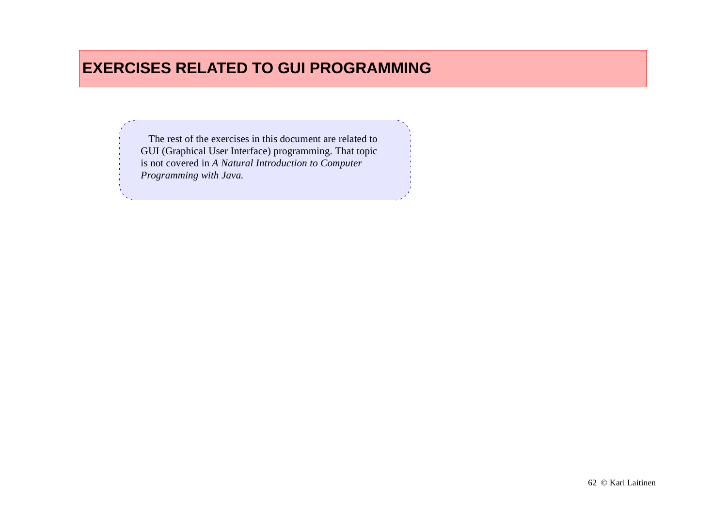### **EXERCISES RELATED TO GUI PROGRAMMING**

 The rest of the exercises in this document are related to GUI (Graphical User Interface) programming. That topic is not covered in *A Natural Introduction to Computer Programming with Java.*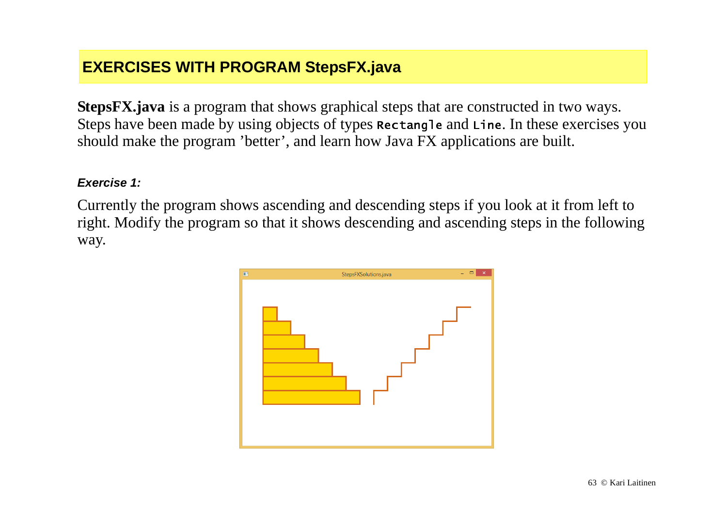### **EXERCISES WITH PROGRAM StepsFX.java**

**StepsFX.java** is a program that shows graphical steps that are constructed in two ways. Steps have been made by using objects of types <code>Rectangle</code> and <code>Line.</code> In these exercises you should make the program 'better', and learn how Java FX applications are built.

#### *Exercise 1:*

Currently the program shows ascending and descending steps if you look at it from left to right. Modify the program so that it shows descending and ascending steps in the following way.

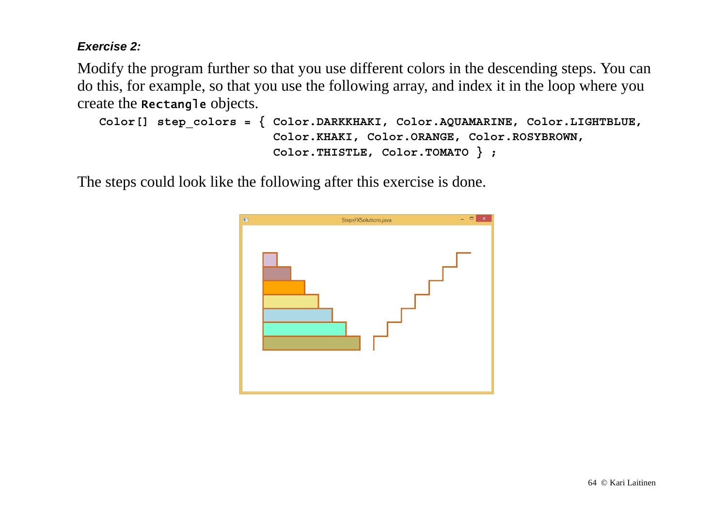#### *Exercise 2:*

Modify the program further so that you use different colors in the descending steps. You can do this, for example, so that you use the following array, and index it in the loop where you create the <code>Rectangle</code> objects.

```
 Color[] step_colors = { Color.DARKKHAKI, Color.AQUAMARINE, Color.LIGHTBLUE,
                         Color.KHAKI, Color.ORANGE, Color.ROSYBROWN,
                         Color.THISTLE, Color.TOMATO } ;
```
The steps could look like the following after this exercise is done.

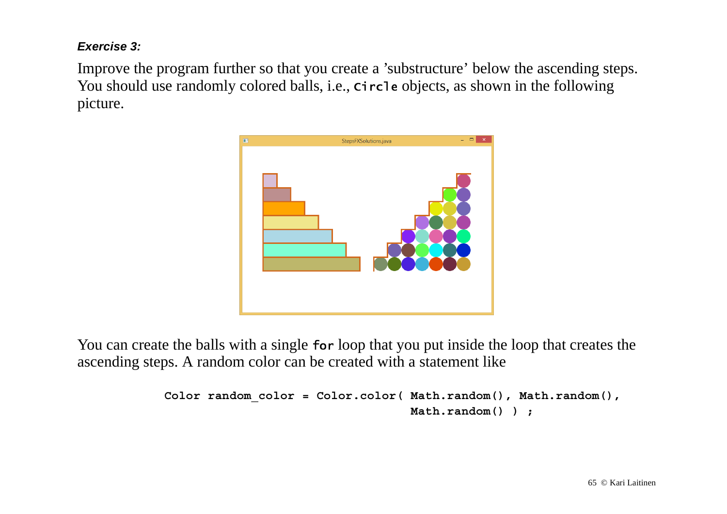#### *Exercise 3:*

Improve the program further so that you create a 'substructure' below the ascending steps. You should use randomly colored balls, i.e., circle objects, as shown in the following picture.



You can create the balls with a single for loop that you put inside the loop that creates the ascending steps. A random color can be created with a statement like

```
 Color random_color = Color.color( Math.random(), Math.random(),
                                   Math.random() ) ;
```